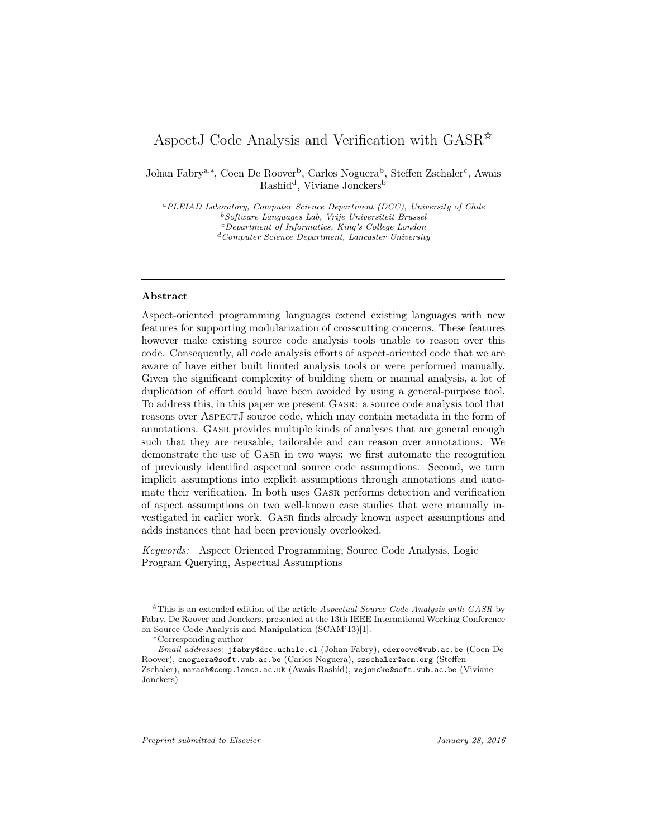# AspectJ Code Analysis and Verification with  $GASR^*$

Johan Fabry<sup>a,∗</sup>, Coen De Roover<sup>b</sup>, Carlos Noguera<sup>b</sup>, Steffen Zschaler<sup>c</sup>, Awais Rashid<sup>d</sup>, Viviane Jonckers<sup>b</sup>

<sup>a</sup>PLEIAD Laboratory, Computer Science Department (DCC), University of Chile <sup>b</sup>Software Languages Lab, Vrije Universiteit Brussel <sup>c</sup>Department of Informatics, King's College London  $d$  Computer Science Department, Lancaster University

# Abstract

Aspect-oriented programming languages extend existing languages with new features for supporting modularization of crosscutting concerns. These features however make existing source code analysis tools unable to reason over this code. Consequently, all code analysis efforts of aspect-oriented code that we are aware of have either built limited analysis tools or were performed manually. Given the significant complexity of building them or manual analysis, a lot of duplication of effort could have been avoided by using a general-purpose tool. To address this, in this paper we present Gasr: a source code analysis tool that reasons over AspectJ source code, which may contain metadata in the form of annotations. Gasr provides multiple kinds of analyses that are general enough such that they are reusable, tailorable and can reason over annotations. We demonstrate the use of Gasr in two ways: we first automate the recognition of previously identified aspectual source code assumptions. Second, we turn implicit assumptions into explicit assumptions through annotations and automate their verification. In both uses Gasr performs detection and verification of aspect assumptions on two well-known case studies that were manually investigated in earlier work. Gasr finds already known aspect assumptions and adds instances that had been previously overlooked.

Keywords: Aspect Oriented Programming, Source Code Analysis, Logic Program Querying, Aspectual Assumptions

 $\hat{\tau}$ This is an extended edition of the article Aspectual Source Code Analysis with GASR by Fabry, De Roover and Jonckers, presented at the 13th IEEE International Working Conference on Source Code Analysis and Manipulation (SCAM'13)[1].

<sup>∗</sup>Corresponding author

Email addresses: jfabry@dcc.uchile.cl (Johan Fabry), cderoove@vub.ac.be (Coen De Roover), cnoguera@soft.vub.ac.be (Carlos Noguera), szschaler@acm.org (Steffen Zschaler), marash@comp.lancs.ac.uk (Awais Rashid), vejoncke@soft.vub.ac.be (Viviane Jonckers)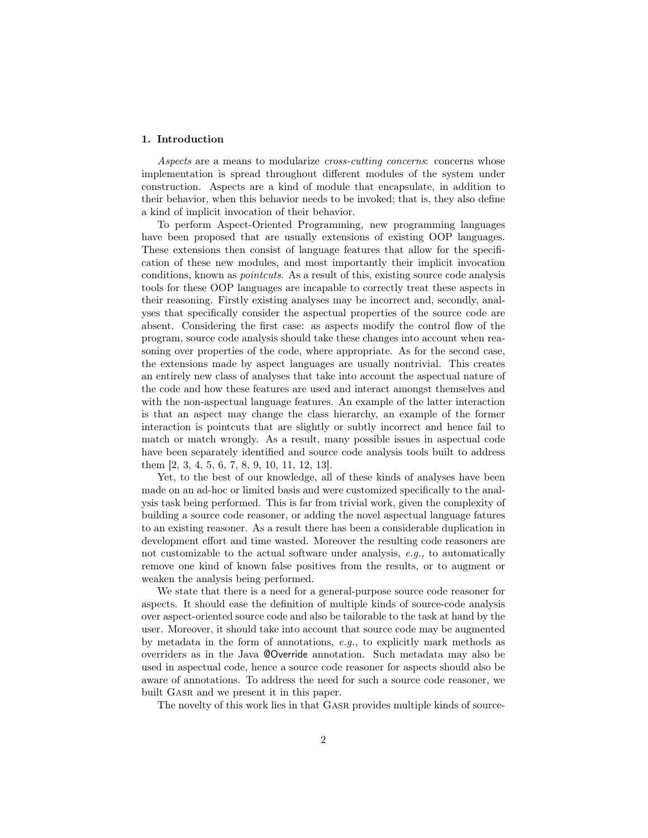# 1. Introduction

Aspects are a means to modularize *cross-cutting concerns*: concerns whose implementation is spread throughout different modules of the system under construction. Aspects are a kind of module that encapsulate, in addition to their behavior, when this behavior needs to be invoked; that is, they also define a kind of implicit invocation of their behavior.

To perform Aspect-Oriented Programming, new programming languages have been proposed that are usually extensions of existing OOP languages. These extensions then consist of language features that allow for the specification of these new modules, and most importantly their implicit invocation conditions, known as pointcuts. As a result of this, existing source code analysis tools for these OOP languages are incapable to correctly treat these aspects in their reasoning. Firstly existing analyses may be incorrect and, secondly, analyses that specifically consider the aspectual properties of the source code are absent. Considering the first case: as aspects modify the control flow of the program, source code analysis should take these changes into account when reasoning over properties of the code, where appropriate. As for the second case, the extensions made by aspect languages are usually nontrivial. This creates an entirely new class of analyses that take into account the aspectual nature of the code and how these features are used and interact amongst themselves and with the non-aspectual language features. An example of the latter interaction is that an aspect may change the class hierarchy, an example of the former interaction is pointcuts that are slightly or subtly incorrect and hence fail to match or match wrongly. As a result, many possible issues in aspectual code have been separately identified and source code analysis tools built to address them [2, 3, 4, 5, 6, 7, 8, 9, 10, 11, 12, 13].

Yet, to the best of our knowledge, all of these kinds of analyses have been made on an ad-hoc or limited basis and were customized specifically to the analysis task being performed. This is far from trivial work, given the complexity of building a source code reasoner, or adding the novel aspectual language fatures to an existing reasoner. As a result there has been a considerable duplication in development effort and time wasted. Moreover the resulting code reasoners are not customizable to the actual software under analysis, e.g., to automatically remove one kind of known false positives from the results, or to augment or weaken the analysis being performed.

We state that there is a need for a general-purpose source code reasoner for aspects. It should ease the definition of multiple kinds of source-code analysis over aspect-oriented source code and also be tailorable to the task at hand by the user. Moreover, it should take into account that source code may be augmented by metadata in the form of annotations, e.g., to explicitly mark methods as overriders as in the Java @Override annotation. Such metadata may also be used in aspectual code, hence a source code reasoner for aspects should also be aware of annotations. To address the need for such a source code reasoner, we built GASR and we present it in this paper.

The novelty of this work lies in that Gasr provides multiple kinds of source-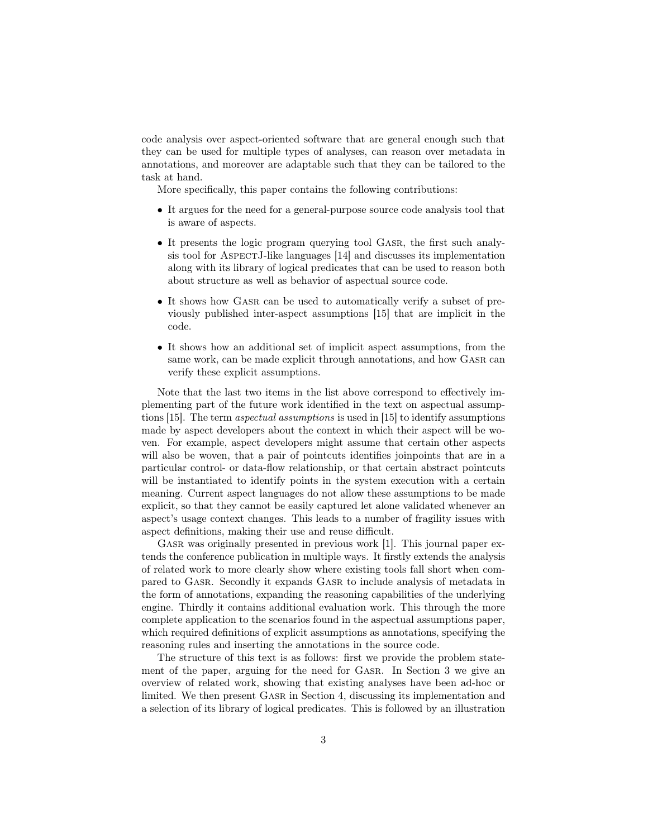code analysis over aspect-oriented software that are general enough such that they can be used for multiple types of analyses, can reason over metadata in annotations, and moreover are adaptable such that they can be tailored to the task at hand.

More specifically, this paper contains the following contributions:

- It argues for the need for a general-purpose source code analysis tool that is aware of aspects.
- It presents the logic program querying tool Gasr, the first such analysis tool for ASPECTJ-like languages [14] and discusses its implementation along with its library of logical predicates that can be used to reason both about structure as well as behavior of aspectual source code.
- It shows how GASR can be used to automatically verify a subset of previously published inter-aspect assumptions [15] that are implicit in the code.
- It shows how an additional set of implicit aspect assumptions, from the same work, can be made explicit through annotations, and how GASR can verify these explicit assumptions.

Note that the last two items in the list above correspond to effectively implementing part of the future work identified in the text on aspectual assumptions [15]. The term aspectual assumptions is used in [15] to identify assumptions made by aspect developers about the context in which their aspect will be woven. For example, aspect developers might assume that certain other aspects will also be woven, that a pair of pointcuts identifies joinpoints that are in a particular control- or data-flow relationship, or that certain abstract pointcuts will be instantiated to identify points in the system execution with a certain meaning. Current aspect languages do not allow these assumptions to be made explicit, so that they cannot be easily captured let alone validated whenever an aspect's usage context changes. This leads to a number of fragility issues with aspect definitions, making their use and reuse difficult.

GASR was originally presented in previous work [1]. This journal paper extends the conference publication in multiple ways. It firstly extends the analysis of related work to more clearly show where existing tools fall short when compared to Gasr. Secondly it expands Gasr to include analysis of metadata in the form of annotations, expanding the reasoning capabilities of the underlying engine. Thirdly it contains additional evaluation work. This through the more complete application to the scenarios found in the aspectual assumptions paper, which required definitions of explicit assumptions as annotations, specifying the reasoning rules and inserting the annotations in the source code.

The structure of this text is as follows: first we provide the problem statement of the paper, arguing for the need for Gasr. In Section 3 we give an overview of related work, showing that existing analyses have been ad-hoc or limited. We then present GASR in Section 4, discussing its implementation and a selection of its library of logical predicates. This is followed by an illustration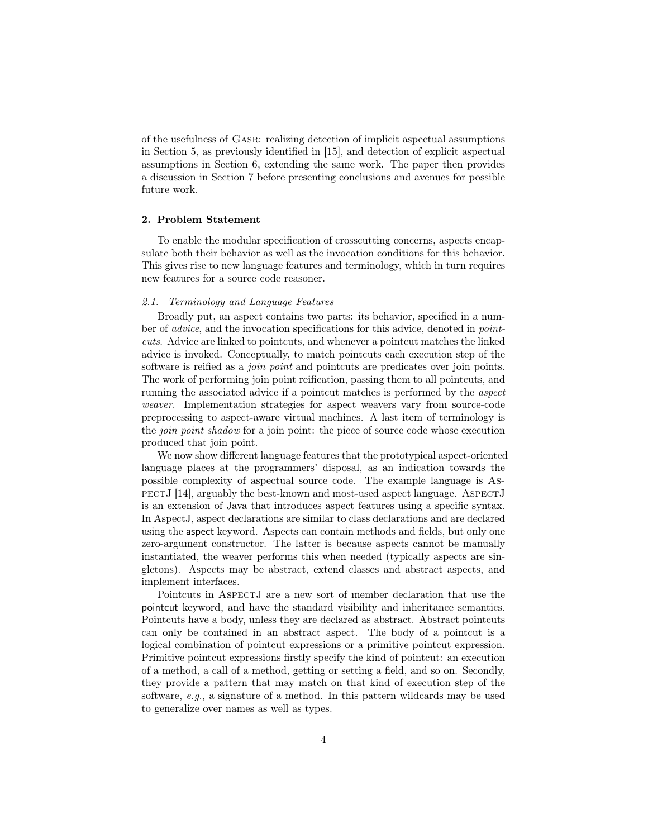of the usefulness of Gasr: realizing detection of implicit aspectual assumptions in Section 5, as previously identified in [15], and detection of explicit aspectual assumptions in Section 6, extending the same work. The paper then provides a discussion in Section 7 before presenting conclusions and avenues for possible future work.

# 2. Problem Statement

To enable the modular specification of crosscutting concerns, aspects encapsulate both their behavior as well as the invocation conditions for this behavior. This gives rise to new language features and terminology, which in turn requires new features for a source code reasoner.

# 2.1. Terminology and Language Features

Broadly put, an aspect contains two parts: its behavior, specified in a number of advice, and the invocation specifications for this advice, denoted in pointcuts. Advice are linked to pointcuts, and whenever a pointcut matches the linked advice is invoked. Conceptually, to match pointcuts each execution step of the software is reified as a *join point* and pointcuts are predicates over join points. The work of performing join point reification, passing them to all pointcuts, and running the associated advice if a pointcut matches is performed by the aspect weaver. Implementation strategies for aspect weavers vary from source-code preprocessing to aspect-aware virtual machines. A last item of terminology is the join point shadow for a join point: the piece of source code whose execution produced that join point.

We now show different language features that the prototypical aspect-oriented language places at the programmers' disposal, as an indication towards the possible complexity of aspectual source code. The example language is AspectJ [14], arguably the best-known and most-used aspect language. AspectJ is an extension of Java that introduces aspect features using a specific syntax. In AspectJ, aspect declarations are similar to class declarations and are declared using the aspect keyword. Aspects can contain methods and fields, but only one zero-argument constructor. The latter is because aspects cannot be manually instantiated, the weaver performs this when needed (typically aspects are singletons). Aspects may be abstract, extend classes and abstract aspects, and implement interfaces.

Pointcuts in AspectJ are a new sort of member declaration that use the pointcut keyword, and have the standard visibility and inheritance semantics. Pointcuts have a body, unless they are declared as abstract. Abstract pointcuts can only be contained in an abstract aspect. The body of a pointcut is a logical combination of pointcut expressions or a primitive pointcut expression. Primitive pointcut expressions firstly specify the kind of pointcut: an execution of a method, a call of a method, getting or setting a field, and so on. Secondly, they provide a pattern that may match on that kind of execution step of the software,  $e, q,$ , a signature of a method. In this pattern wildcards may be used to generalize over names as well as types.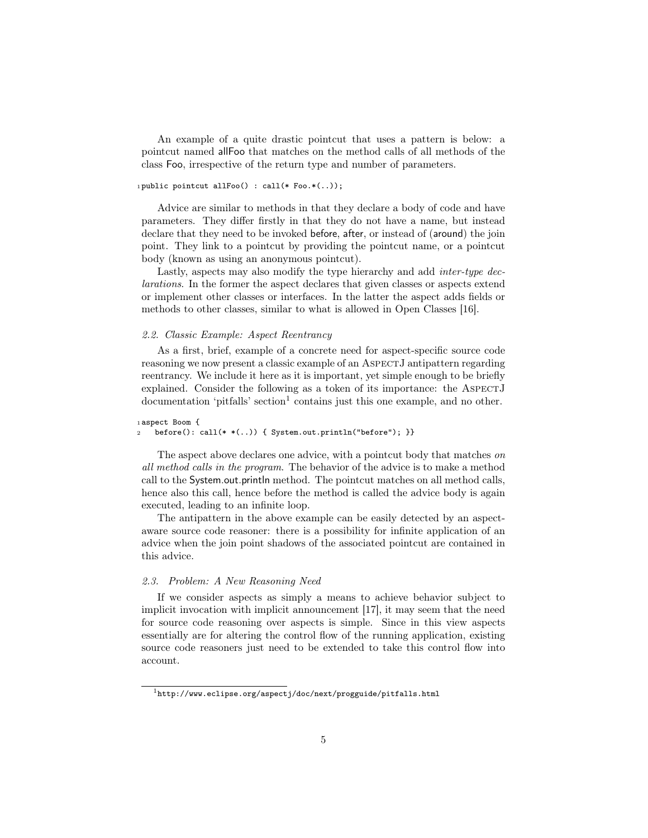An example of a quite drastic pointcut that uses a pattern is below: a pointcut named allFoo that matches on the method calls of all methods of the class Foo, irrespective of the return type and number of parameters.

# 1 public pointcut allFoo $()$ : call $(*$  Foo. $*(...)$ ;

Advice are similar to methods in that they declare a body of code and have parameters. They differ firstly in that they do not have a name, but instead declare that they need to be invoked before, after, or instead of (around) the join point. They link to a pointcut by providing the pointcut name, or a pointcut body (known as using an anonymous pointcut).

Lastly, aspects may also modify the type hierarchy and add *inter-type dec*larations. In the former the aspect declares that given classes or aspects extend or implement other classes or interfaces. In the latter the aspect adds fields or methods to other classes, similar to what is allowed in Open Classes [16].

### 2.2. Classic Example: Aspect Reentrancy

As a first, brief, example of a concrete need for aspect-specific source code reasoning we now present a classic example of an AspectJ antipattern regarding reentrancy. We include it here as it is important, yet simple enough to be briefly explained. Consider the following as a token of its importance: the AspectJ  $d$ ocumentation 'pitfalls' section<sup>1</sup> contains just this one example, and no other.

```
1 aspect Boom {
2 \quad \text{before}(): \text{call}(* *(...)) \{ \text{System.out.println("before"); } \}
```
The aspect above declares one advice, with a pointcut body that matches on all method calls in the program. The behavior of the advice is to make a method call to the System.out.println method. The pointcut matches on all method calls, hence also this call, hence before the method is called the advice body is again executed, leading to an infinite loop.

The antipattern in the above example can be easily detected by an aspectaware source code reasoner: there is a possibility for infinite application of an advice when the join point shadows of the associated pointcut are contained in this advice.

# 2.3. Problem: A New Reasoning Need

If we consider aspects as simply a means to achieve behavior subject to implicit invocation with implicit announcement [17], it may seem that the need for source code reasoning over aspects is simple. Since in this view aspects essentially are for altering the control flow of the running application, existing source code reasoners just need to be extended to take this control flow into account.

<sup>1</sup>http://www.eclipse.org/aspectj/doc/next/progguide/pitfalls.html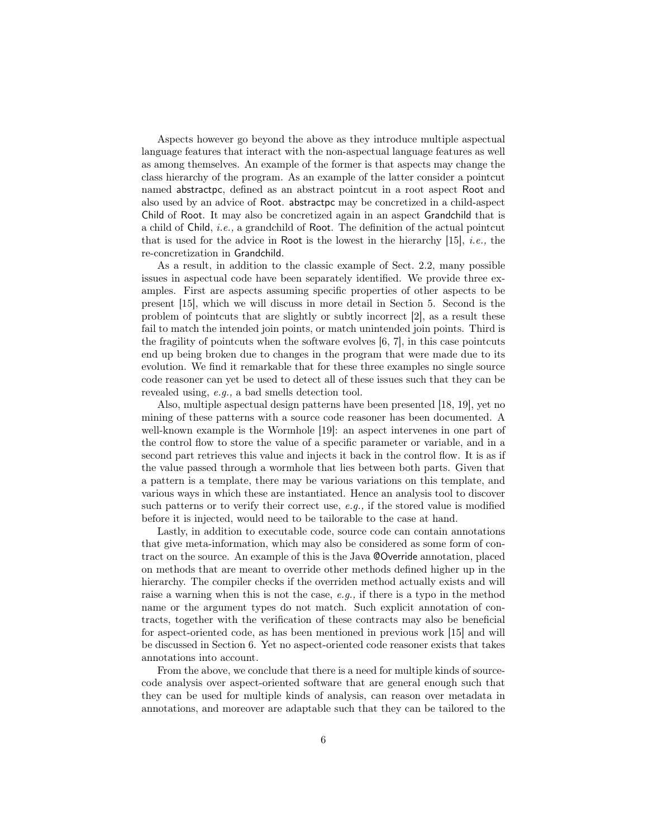Aspects however go beyond the above as they introduce multiple aspectual language features that interact with the non-aspectual language features as well as among themselves. An example of the former is that aspects may change the class hierarchy of the program. As an example of the latter consider a pointcut named abstractpc, defined as an abstract pointcut in a root aspect Root and also used by an advice of Root. abstractpc may be concretized in a child-aspect Child of Root. It may also be concretized again in an aspect Grandchild that is a child of Child, i.e., a grandchild of Root. The definition of the actual pointcut that is used for the advice in Root is the lowest in the hierarchy  $[15]$ , *i.e.*, the re-concretization in Grandchild.

As a result, in addition to the classic example of Sect. 2.2, many possible issues in aspectual code have been separately identified. We provide three examples. First are aspects assuming specific properties of other aspects to be present [15], which we will discuss in more detail in Section 5. Second is the problem of pointcuts that are slightly or subtly incorrect [2], as a result these fail to match the intended join points, or match unintended join points. Third is the fragility of pointcuts when the software evolves [6, 7], in this case pointcuts end up being broken due to changes in the program that were made due to its evolution. We find it remarkable that for these three examples no single source code reasoner can yet be used to detect all of these issues such that they can be revealed using, e.g., a bad smells detection tool.

Also, multiple aspectual design patterns have been presented [18, 19], yet no mining of these patterns with a source code reasoner has been documented. A well-known example is the Wormhole [19]: an aspect intervenes in one part of the control flow to store the value of a specific parameter or variable, and in a second part retrieves this value and injects it back in the control flow. It is as if the value passed through a wormhole that lies between both parts. Given that a pattern is a template, there may be various variations on this template, and various ways in which these are instantiated. Hence an analysis tool to discover such patterns or to verify their correct use, e.g., if the stored value is modified before it is injected, would need to be tailorable to the case at hand.

Lastly, in addition to executable code, source code can contain annotations that give meta-information, which may also be considered as some form of contract on the source. An example of this is the Java @Override annotation, placed on methods that are meant to override other methods defined higher up in the hierarchy. The compiler checks if the overriden method actually exists and will raise a warning when this is not the case, e.g., if there is a typo in the method name or the argument types do not match. Such explicit annotation of contracts, together with the verification of these contracts may also be beneficial for aspect-oriented code, as has been mentioned in previous work [15] and will be discussed in Section 6. Yet no aspect-oriented code reasoner exists that takes annotations into account.

From the above, we conclude that there is a need for multiple kinds of sourcecode analysis over aspect-oriented software that are general enough such that they can be used for multiple kinds of analysis, can reason over metadata in annotations, and moreover are adaptable such that they can be tailored to the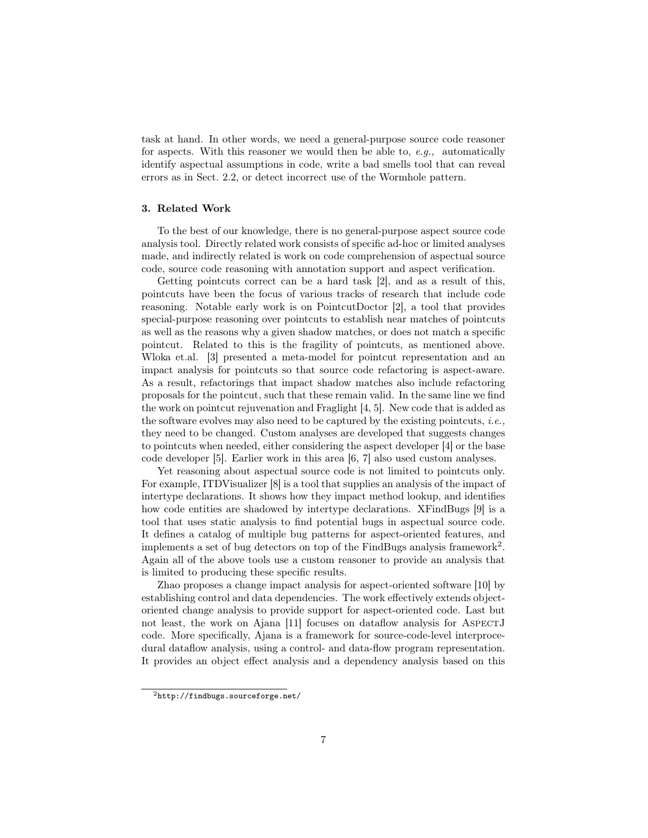task at hand. In other words, we need a general-purpose source code reasoner for aspects. With this reasoner we would then be able to, e.g., automatically identify aspectual assumptions in code, write a bad smells tool that can reveal errors as in Sect. 2.2, or detect incorrect use of the Wormhole pattern.

# 3. Related Work

To the best of our knowledge, there is no general-purpose aspect source code analysis tool. Directly related work consists of specific ad-hoc or limited analyses made, and indirectly related is work on code comprehension of aspectual source code, source code reasoning with annotation support and aspect verification.

Getting pointcuts correct can be a hard task [2], and as a result of this, pointcuts have been the focus of various tracks of research that include code reasoning. Notable early work is on PointcutDoctor [2], a tool that provides special-purpose reasoning over pointcuts to establish near matches of pointcuts as well as the reasons why a given shadow matches, or does not match a specific pointcut. Related to this is the fragility of pointcuts, as mentioned above. Wloka et.al. [3] presented a meta-model for pointcut representation and an impact analysis for pointcuts so that source code refactoring is aspect-aware. As a result, refactorings that impact shadow matches also include refactoring proposals for the pointcut, such that these remain valid. In the same line we find the work on pointcut rejuvenation and Fraglight [4, 5]. New code that is added as the software evolves may also need to be captured by the existing pointcuts, *i.e.*, they need to be changed. Custom analyses are developed that suggests changes to pointcuts when needed, either considering the aspect developer [4] or the base code developer [5]. Earlier work in this area [6, 7] also used custom analyses.

Yet reasoning about aspectual source code is not limited to pointcuts only. For example, ITDVisualizer [8] is a tool that supplies an analysis of the impact of intertype declarations. It shows how they impact method lookup, and identifies how code entities are shadowed by intertype declarations. XFindBugs [9] is a tool that uses static analysis to find potential bugs in aspectual source code. It defines a catalog of multiple bug patterns for aspect-oriented features, and implements a set of bug detectors on top of the FindBugs analysis framework<sup>2</sup>. Again all of the above tools use a custom reasoner to provide an analysis that is limited to producing these specific results.

Zhao proposes a change impact analysis for aspect-oriented software [10] by establishing control and data dependencies. The work effectively extends objectoriented change analysis to provide support for aspect-oriented code. Last but not least, the work on Ajana [11] focuses on dataflow analysis for AspectJ code. More specifically, Ajana is a framework for source-code-level interprocedural dataflow analysis, using a control- and data-flow program representation. It provides an object effect analysis and a dependency analysis based on this

<sup>2</sup>http://findbugs.sourceforge.net/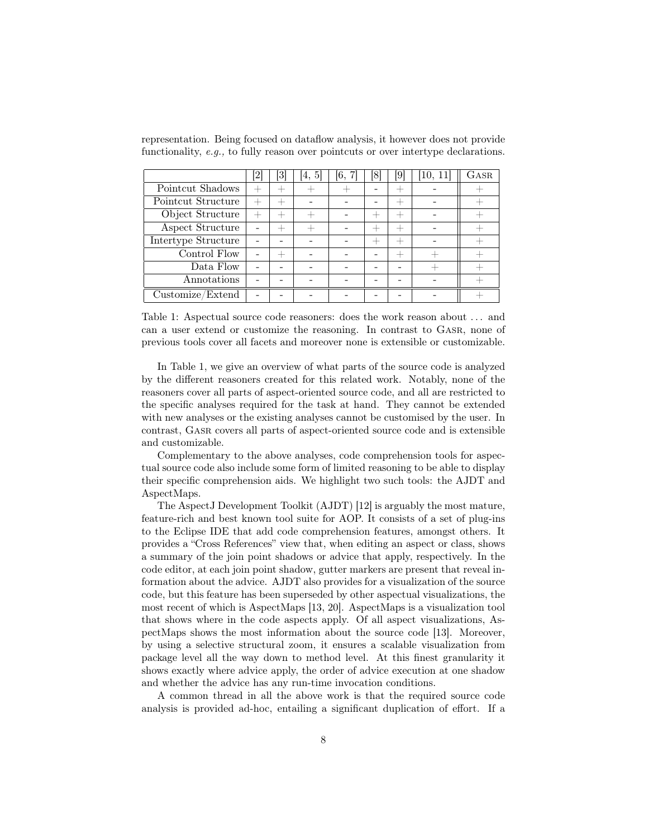|                            | $\left\lceil 2 \right\rceil$ | [3]                              | [4, 5] | [6, 7] | 18                               | 191  | [10, 11] | GASR |
|----------------------------|------------------------------|----------------------------------|--------|--------|----------------------------------|------|----------|------|
| Pointcut Shadows           | $^+$                         |                                  |        |        |                                  |      |          |      |
| Pointcut Structure         | $\hspace{0.1mm} +$           | $\hspace{0.1mm} +\hspace{0.1mm}$ |        |        |                                  | $^+$ |          |      |
| Object Structure           | $^{+}$                       |                                  |        |        | $\hspace{0.1mm} +\hspace{0.1mm}$ | $^+$ |          |      |
| <b>Aspect Structure</b>    |                              |                                  |        |        |                                  |      |          |      |
| <b>Intertype Structure</b> |                              |                                  |        |        |                                  | $^+$ |          |      |
| Control Flow               |                              |                                  |        |        |                                  |      |          |      |
| Data Flow                  |                              |                                  |        |        |                                  |      |          |      |
| Annotations                |                              |                                  |        |        |                                  |      |          |      |
| Customize/Extend           |                              |                                  |        |        |                                  |      |          |      |

representation. Being focused on dataflow analysis, it however does not provide functionality, e.g., to fully reason over pointcuts or over intertype declarations.

Table 1: Aspectual source code reasoners: does the work reason about . . . and can a user extend or customize the reasoning. In contrast to Gasr, none of previous tools cover all facets and moreover none is extensible or customizable.

In Table 1, we give an overview of what parts of the source code is analyzed by the different reasoners created for this related work. Notably, none of the reasoners cover all parts of aspect-oriented source code, and all are restricted to the specific analyses required for the task at hand. They cannot be extended with new analyses or the existing analyses cannot be customised by the user. In contrast, Gasr covers all parts of aspect-oriented source code and is extensible and customizable.

Complementary to the above analyses, code comprehension tools for aspectual source code also include some form of limited reasoning to be able to display their specific comprehension aids. We highlight two such tools: the AJDT and AspectMaps.

The AspectJ Development Toolkit (AJDT) [12] is arguably the most mature, feature-rich and best known tool suite for AOP. It consists of a set of plug-ins to the Eclipse IDE that add code comprehension features, amongst others. It provides a "Cross References" view that, when editing an aspect or class, shows a summary of the join point shadows or advice that apply, respectively. In the code editor, at each join point shadow, gutter markers are present that reveal information about the advice. AJDT also provides for a visualization of the source code, but this feature has been superseded by other aspectual visualizations, the most recent of which is AspectMaps [13, 20]. AspectMaps is a visualization tool that shows where in the code aspects apply. Of all aspect visualizations, AspectMaps shows the most information about the source code [13]. Moreover, by using a selective structural zoom, it ensures a scalable visualization from package level all the way down to method level. At this finest granularity it shows exactly where advice apply, the order of advice execution at one shadow and whether the advice has any run-time invocation conditions.

A common thread in all the above work is that the required source code analysis is provided ad-hoc, entailing a significant duplication of effort. If a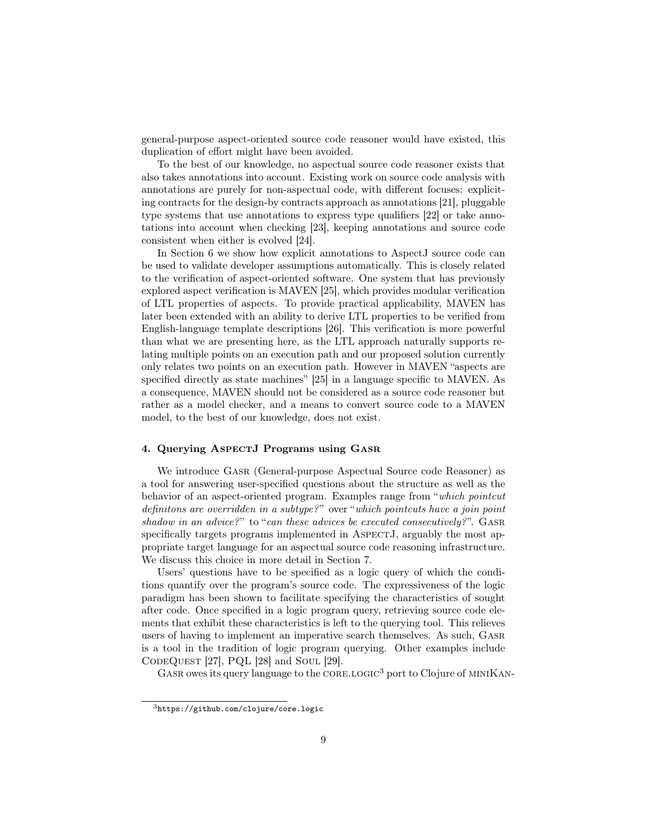general-purpose aspect-oriented source code reasoner would have existed, this duplication of effort might have been avoided.

To the best of our knowledge, no aspectual source code reasoner exists that also takes annotations into account. Existing work on source code analysis with annotations are purely for non-aspectual code, with different focuses: expliciting contracts for the design-by contracts approach as annotations [21], pluggable type systems that use annotations to express type qualifiers [22] or take annotations into account when checking [23], keeping annotations and source code consistent when either is evolved [24].

In Section 6 we show how explicit annotations to AspectJ source code can be used to validate developer assumptions automatically. This is closely related to the verification of aspect-oriented software. One system that has previously explored aspect verification is MAVEN [25], which provides modular verification of LTL properties of aspects. To provide practical applicability, MAVEN has later been extended with an ability to derive LTL properties to be verified from English-language template descriptions [26]. This verification is more powerful than what we are presenting here, as the LTL approach naturally supports relating multiple points on an execution path and our proposed solution currently only relates two points on an execution path. However in MAVEN "aspects are specified directly as state machines" [25] in a language specific to MAVEN. As a consequence, MAVEN should not be considered as a source code reasoner but rather as a model checker, and a means to convert source code to a MAVEN model, to the best of our knowledge, does not exist.

#### 4. Querying AspectJ Programs using Gasr

We introduce Gasr (General-purpose Aspectual Source code Reasoner) as a tool for answering user-specified questions about the structure as well as the behavior of an aspect-oriented program. Examples range from "which pointcut definitons are overridden in a subtype?" over "which pointcuts have a join point shadow in an advice?" to "can these advices be executed consecutively?". GASR specifically targets programs implemented in ASPECTJ, arguably the most appropriate target language for an aspectual source code reasoning infrastructure. We discuss this choice in more detail in Section 7.

Users' questions have to be specified as a logic query of which the conditions quantify over the program's source code. The expressiveness of the logic paradigm has been shown to facilitate specifying the characteristics of sought after code. Once specified in a logic program query, retrieving source code elements that exhibit these characteristics is left to the querying tool. This relieves users of having to implement an imperative search themselves. As such, Gasr is a tool in the tradition of logic program querying. Other examples include  $CODEQUESTION$  [27], PQL [28] and Soul [29].

GASR owes its query language to the CORE.LOGIC<sup>3</sup> port to Clojure of MINIKAN-

<sup>3</sup>https://github.com/clojure/core.logic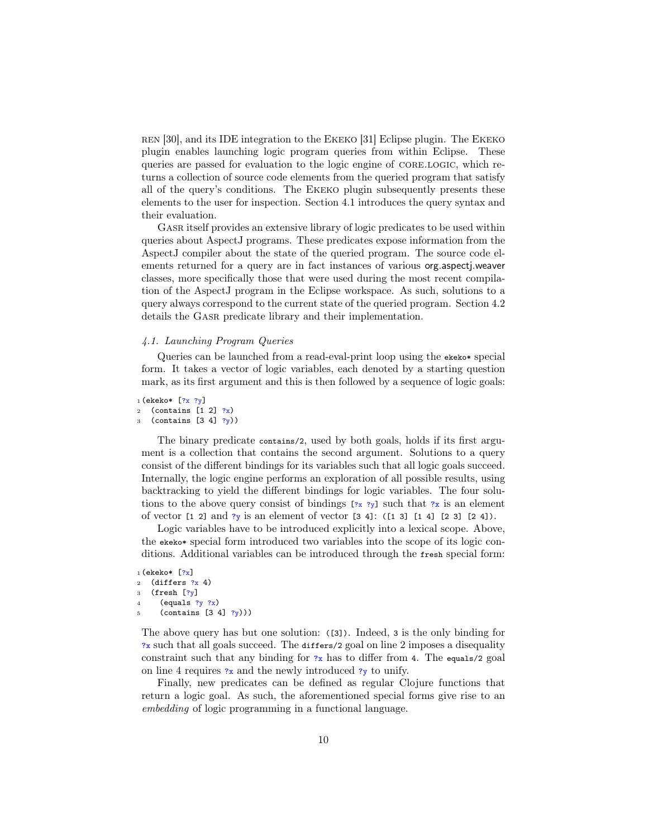ren [30], and its IDE integration to the Ekeko [31] Eclipse plugin. The Ekeko plugin enables launching logic program queries from within Eclipse. These queries are passed for evaluation to the logic engine of core.logic, which returns a collection of source code elements from the queried program that satisfy all of the query's conditions. The Ekeko plugin subsequently presents these elements to the user for inspection. Section 4.1 introduces the query syntax and their evaluation.

Gasr itself provides an extensive library of logic predicates to be used within queries about AspectJ programs. These predicates expose information from the AspectJ compiler about the state of the queried program. The source code elements returned for a query are in fact instances of various org.aspectj.weaver classes, more specifically those that were used during the most recent compilation of the AspectJ program in the Eclipse workspace. As such, solutions to a query always correspond to the current state of the queried program. Section 4.2 details the Gasr predicate library and their implementation.

# 4.1. Launching Program Queries

Queries can be launched from a read-eval-print loop using the exercitionform. It takes a vector of logic variables, each denoted by a starting question mark, as its first argument and this is then followed by a sequence of logic goals:

```
1 (ekeko* [?x ?y]
2 (contains [1 2] ?x)3 (contains [3 4] ?y))
```
The binary predicate contains/2, used by both goals, holds if its first argument is a collection that contains the second argument. Solutions to a query consist of the different bindings for its variables such that all logic goals succeed. Internally, the logic engine performs an exploration of all possible results, using backtracking to yield the different bindings for logic variables. The four solutions to the above query consist of bindings  $[z, z]$  such that  $z$  is an element of vector  $[1\ 2]$  and  $?y$  is an element of vector  $[3\ 4]$ :  $([1\ 3]\ [1\ 4]\ [2\ 3]\ [2\ 4])$ .

Logic variables have to be introduced explicitly into a lexical scope. Above, the ekeko\* special form introduced two variables into the scope of its logic conditions. Additional variables can be introduced through the fresh special form:

```
1 (ekeko* [?x]2 (differs ?x 4)
3 (fresh [?y]4 (equals ?y ?x)
     (contains [3 4] ?y))
```
The above query has but one solution: ([3]). Indeed, 3 is the only binding for ?x such that all goals succeed. The differs/2 goal on line 2 imposes a disequality constraint such that any binding for  $?x$  has to differ from 4. The equals/2 goal on line 4 requires  $\alpha$  and the newly introduced  $\gamma$  to unify.

Finally, new predicates can be defined as regular Clojure functions that return a logic goal. As such, the aforementioned special forms give rise to an embedding of logic programming in a functional language.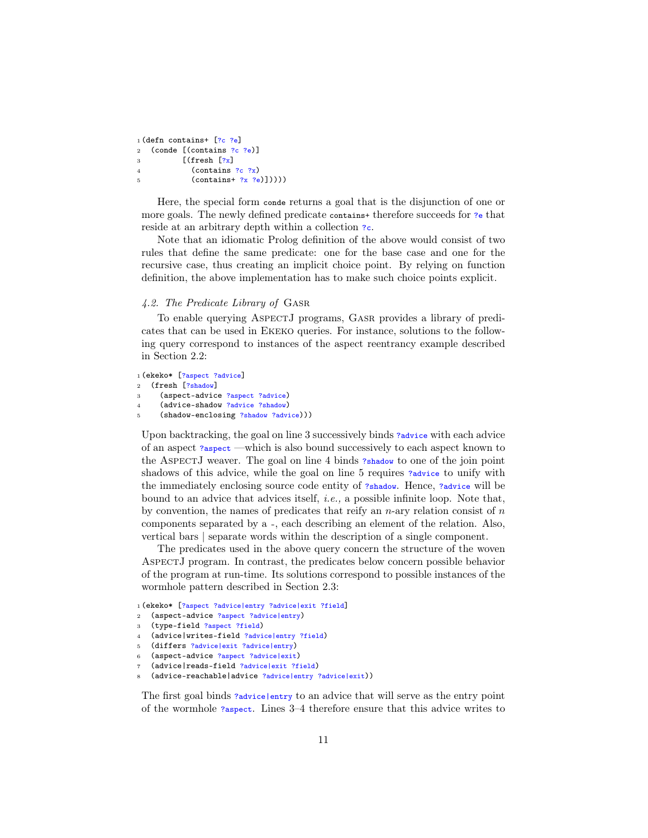```
1 (defn contains+ [?c ?e]
2 (conde [(contains ?c ?e)]3 \qquad \qquad [(fresh [?x]
4 (contains ?c ?x)
5 (contains+ ?x ?e)))))
```
Here, the special form conde returns a goal that is the disjunction of one or more goals. The newly defined predicate contains+ therefore succeeds for ?e that reside at an arbitrary depth within a collection  $\infty$ .

Note that an idiomatic Prolog definition of the above would consist of two rules that define the same predicate: one for the base case and one for the recursive case, thus creating an implicit choice point. By relying on function definition, the above implementation has to make such choice points explicit.

# 4.2. The Predicate Library of Gasr

To enable querying AspectJ programs, Gasr provides a library of predicates that can be used in Ekeko queries. For instance, solutions to the following query correspond to instances of the aspect reentrancy example described in Section 2.2:

```
1 (ekeko* [?aspect ?advice]
2 (fresh [?shadow]
3 (aspect-advice ?aspect ?advice)
4 (advice-shadow ?advice ?shadow)
```

```
(shadow-enclosing ?shadow ?advice)))
```
Upon backtracking, the goal on line 3 successively binds ?advice with each advice of an aspect ?aspect —which is also bound successively to each aspect known to the AspectJ weaver. The goal on line 4 binds ?shadow to one of the join point shadows of this advice, while the goal on line 5 requires ?advice to unify with the immediately enclosing source code entity of ?shadow. Hence, ?advice will be bound to an advice that advices itself, i.e., a possible infinite loop. Note that, by convention, the names of predicates that reify an  $n$ -ary relation consist of  $n$ components separated by a -, each describing an element of the relation. Also, vertical bars | separate words within the description of a single component.

The predicates used in the above query concern the structure of the woven AspectJ program. In contrast, the predicates below concern possible behavior of the program at run-time. Its solutions correspond to possible instances of the wormhole pattern described in Section 2.3:

```
1 (ekeko* [?aspect ?advice|entry ?advice|exit ?field]
```
- <sup>2</sup> (aspect-advice ?aspect ?advice|entry)
- <sup>3</sup> (type-field ?aspect ?field)
- <sup>4</sup> (advice|writes-field ?advice|entry ?field)
- <sup>5</sup> (differs ?advice|exit ?advice|entry)
- <sup>6</sup> (aspect-advice ?aspect ?advice|exit)
- <sup>7</sup> (advice|reads-field ?advice|exit ?field)
- (advice-reachable|advice ?advice|entry ?advice|exit))

The first goal binds ?advice|entry to an advice that will serve as the entry point of the wormhole ?aspect. Lines 3–4 therefore ensure that this advice writes to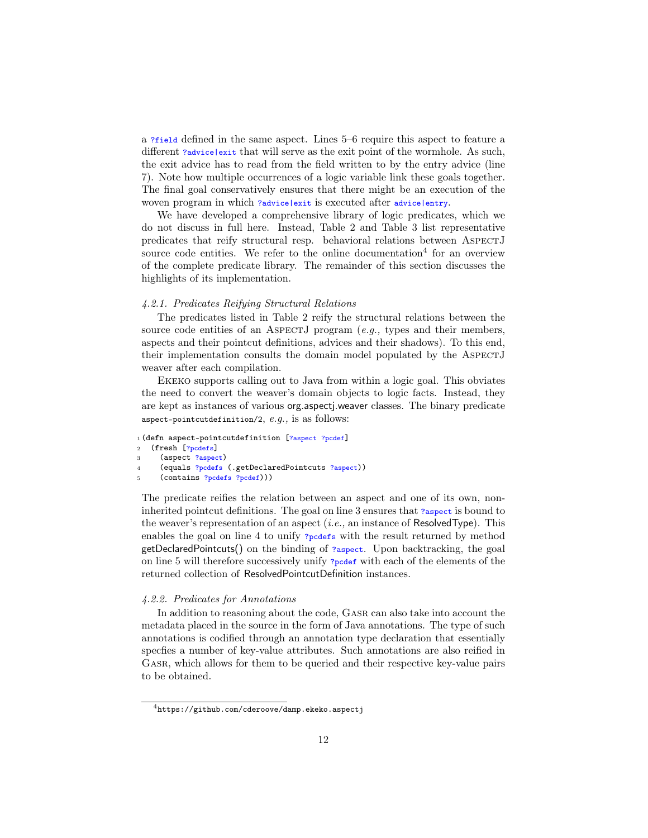a ?field defined in the same aspect. Lines 5–6 require this aspect to feature a different ?advice|exit that will serve as the exit point of the wormhole. As such, the exit advice has to read from the field written to by the entry advice (line 7). Note how multiple occurrences of a logic variable link these goals together. The final goal conservatively ensures that there might be an execution of the woven program in which ?advice|exit is executed after advice|entry.

We have developed a comprehensive library of logic predicates, which we do not discuss in full here. Instead, Table 2 and Table 3 list representative predicates that reify structural resp. behavioral relations between AspectJ source code entities. We refer to the online documentation<sup>4</sup> for an overview of the complete predicate library. The remainder of this section discusses the highlights of its implementation.

#### 4.2.1. Predicates Reifying Structural Relations

The predicates listed in Table 2 reify the structural relations between the source code entities of an ASPECTJ program  $(e.q.,\)$  types and their members, aspects and their pointcut definitions, advices and their shadows). To this end, their implementation consults the domain model populated by the ASPECTJ weaver after each compilation.

Ekeko supports calling out to Java from within a logic goal. This obviates the need to convert the weaver's domain objects to logic facts. Instead, they are kept as instances of various org.aspectj.weaver classes. The binary predicate aspect-pointcutdefinition/2,  $e.g.,$  is as follows:

```
1 (defn aspect-pointcutdefinition [?aspect ?pcdef]
2 (fresh [?pcdefs]
```

```
3 (aspect ?aspect)
```

```
4 (equals ?pcdefs (.getDeclaredPointcuts ?aspect))
```

```
(contains ?pcdefs ?pcdef)))
```
The predicate reifies the relation between an aspect and one of its own, noninherited pointcut definitions. The goal on line 3 ensures that ?aspect is bound to the weaver's representation of an aspect  $(i.e.,$  an instance of ResolvedType). This enables the goal on line 4 to unify ?pcdefs with the result returned by method getDeclaredPointcuts() on the binding of ?aspect. Upon backtracking, the goal on line 5 will therefore successively unify ?pcdef with each of the elements of the returned collection of ResolvedPointcutDefinition instances.

# 4.2.2. Predicates for Annotations

In addition to reasoning about the code, Gasr can also take into account the metadata placed in the source in the form of Java annotations. The type of such annotations is codified through an annotation type declaration that essentially specfies a number of key-value attributes. Such annotations are also reified in GASR, which allows for them to be queried and their respective key-value pairs to be obtained.

<sup>4</sup>https://github.com/cderoove/damp.ekeko.aspectj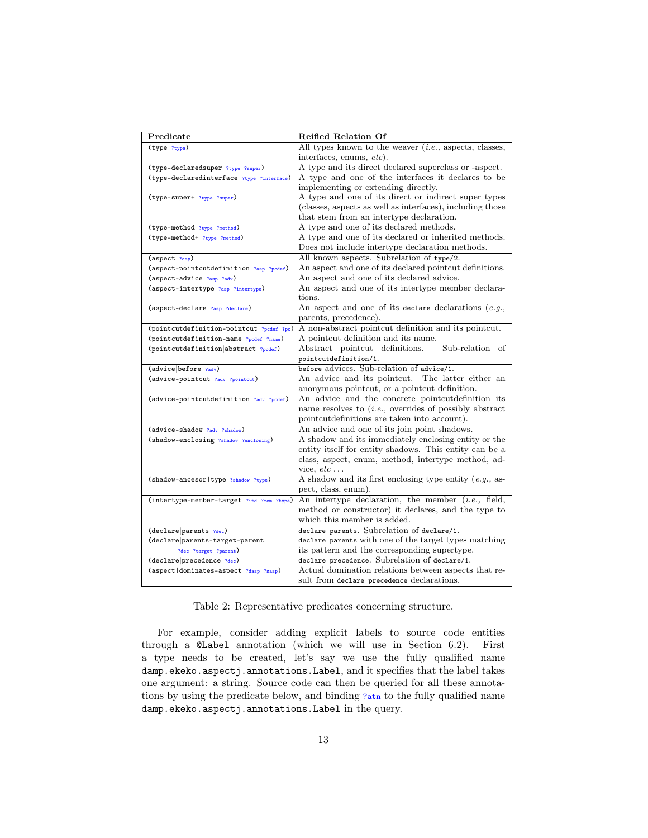| Predicate                                          | <b>Reified Relation Of</b>                                 |
|----------------------------------------------------|------------------------------------------------------------|
| (type ?type)                                       | All types known to the weaver $(i.e.,$ aspects, classes,   |
|                                                    | interfaces, enums, etc).                                   |
| (type-declaredsuper ?type ?super)                  | A type and its direct declared superclass or -aspect.      |
| (type-declaredinterface ?type ?interface)          | A type and one of the interfaces it declares to be         |
|                                                    | implementing or extending directly.                        |
| (type-super+ ?type ?super)                         | A type and one of its direct or indirect super types       |
|                                                    | (classes, aspects as well as interfaces), including those  |
|                                                    | that stem from an intertype declaration.                   |
| (type-method ?type ?method)                        | A type and one of its declared methods.                    |
| (type-method+ ?type ?method)                       | A type and one of its declared or inherited methods.       |
|                                                    | Does not include intertype declaration methods.            |
| (aspect ?asp)                                      | All known aspects. Subrelation of type/2.                  |
| (aspect-pointcutdefinition ?asp ?pcdef)            | An aspect and one of its declared pointcut definitions.    |
| (aspect-advice ?asp ?adv)                          | An aspect and one of its declared advice.                  |
| (aspect-intertype ?asp ?intertype)                 | An aspect and one of its intertype member declara-         |
|                                                    | tions.                                                     |
| (aspect-declare ?asp ?declare)                     | An aspect and one of its declare declarations $(e.g.,$     |
|                                                    | parents, precedence).                                      |
| (pointcutdefinition-pointcut ?pcdef ?pc)           | A non-abstract pointcut definition and its pointcut.       |
| (pointcutdefinition-name ?pcdef ?name)             | A pointcut definition and its name.                        |
| (pointcutdefinition abstract ?pcdef)               | Abstract pointcut definitions.<br>Sub-relation of          |
|                                                    | pointcutdefinition/1.                                      |
| (advice before ?adv)                               | before advices. Sub-relation of advice/1.                  |
| (advice-pointcut ?adv ?pointcut)                   | An advice and its pointcut.<br>The latter either an        |
|                                                    | anonymous pointcut, or a pointcut definition.              |
| (advice-pointcutdefinition ?adv ?pcdef)            | An advice and the concrete pointcutdefinition its          |
|                                                    | name resolves to $(i.e.,$ overrides of possibly abstract   |
|                                                    | pointcutdefinitions are taken into account).               |
| (advice-shadow ?adv ?shadow)                       | An advice and one of its join point shadows.               |
| (shadow-enclosing ?shadow ?enclosing)              | A shadow and its immediately enclosing entity or the       |
|                                                    | entity itself for entity shadows. This entity can be a     |
|                                                    | class, aspect, enum, method, intertype method, ad-         |
|                                                    | vice, $etc \dots$                                          |
| (shadow-ancesor   type ?shadow ?type)              | A shadow and its first enclosing type entity $(e.g., a s)$ |
|                                                    | pect, class, enum).                                        |
| (intertype-member-target ?itd ?mem ?type)          | An intertype declaration, the member $(i.e., field,$       |
|                                                    | method or constructor) it declares, and the type to        |
|                                                    | which this member is added.                                |
| (declare parents ?dec)                             | declare parents. Subrelation of declare/1.                 |
| $\label{thm:dec1} (dec1 are   parents-target-part$ | declare parents with one of the target types matching      |
| ?dec ?target ?parent)                              | its pattern and the corresponding supertype.               |
| (declare precedence ?dec)                          | declare precedence. Subrelation of declare/1.              |
| (aspect dominates-aspect ?dasp ?sasp)              | Actual domination relations between aspects that re-       |
|                                                    | sult from declare precedence declarations.                 |

Table 2: Representative predicates concerning structure.

For example, consider adding explicit labels to source code entities through a @Label annotation (which we will use in Section 6.2). First a type needs to be created, let's say we use the fully qualified name damp.ekeko.aspectj.annotations.Label, and it specifies that the label takes one argument: a string. Source code can then be queried for all these annotations by using the predicate below, and binding ?atn to the fully qualified name damp.ekeko.aspectj.annotations.Label in the query.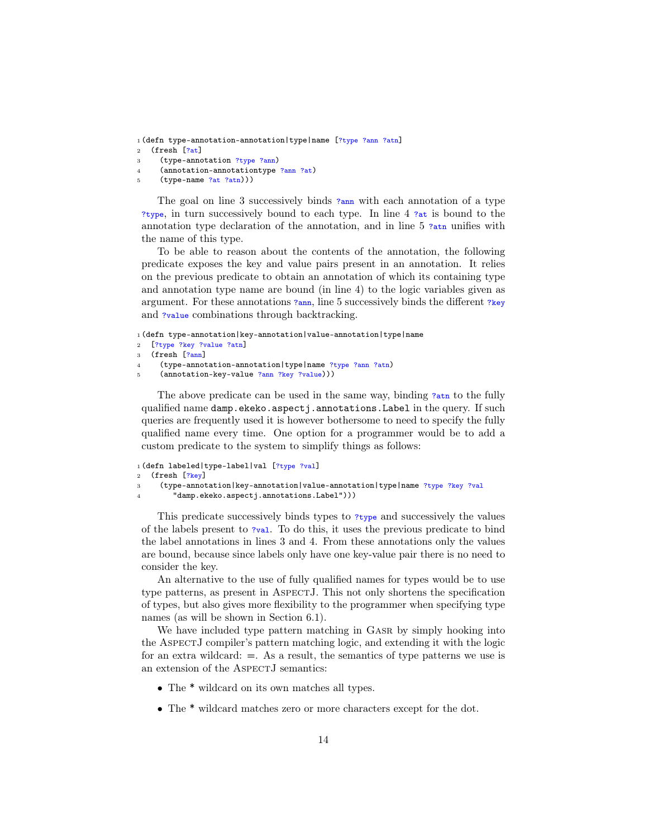<sup>1</sup> (defn type-annotation-annotation|type|name [?type ?ann ?atn] 2 (fresh  $[?at]$ 

- <sup>3</sup> (type-annotation ?type ?ann)
- <sup>4</sup> (annotation-annotationtype ?ann ?at)
- <sup>5</sup> (type-name ?at ?atn)))

The goal on line 3 successively binds  $\frac{7 \text{ ann}}{2}$  with each annotation of a type ?type, in turn successively bound to each type. In line 4 ?at is bound to the annotation type declaration of the annotation, and in line  $5$  ?atn unifies with the name of this type.

To be able to reason about the contents of the annotation, the following predicate exposes the key and value pairs present in an annotation. It relies on the previous predicate to obtain an annotation of which its containing type and annotation type name are bound (in line 4) to the logic variables given as argument. For these annotations ?ann, line 5 successively binds the different ?key and ?value combinations through backtracking.

<sup>1</sup> (defn type-annotation|key-annotation|value-annotation|type|name

<sup>2</sup> [?type ?key ?value ?atn]

```
(fresh [?ann]
```

```
4 (type-annotation-annotation|type|name ?type ?ann ?atn)
```
(annotation-key-value ?ann ?key ?value)))

The above predicate can be used in the same way, binding ?atn to the fully qualified name damp.ekeko.aspectj.annotations.Label in the query. If such queries are frequently used it is however bothersome to need to specify the fully qualified name every time. One option for a programmer would be to add a custom predicate to the system to simplify things as follows:

```
1 (defn labeled|type-label|val [?type ?val]
2 (fresh [?key]
3 (type-annotation|key-annotation|value-annotation|type|name ?type ?key ?val
4 "damp.ekeko.aspectj.annotations.Label")))
```
This predicate successively binds types to ?type and successively the values of the labels present to ?val. To do this, it uses the previous predicate to bind the label annotations in lines 3 and 4. From these annotations only the values are bound, because since labels only have one key-value pair there is no need to consider the key.

An alternative to the use of fully qualified names for types would be to use type patterns, as present in ASPECTJ. This not only shortens the specification of types, but also gives more flexibility to the programmer when specifying type names (as will be shown in Section 6.1).

We have included type pattern matching in GASR by simply hooking into the AspectJ compiler's pattern matching logic, and extending it with the logic for an extra wildcard:  $=$ . As a result, the semantics of type patterns we use is an extension of the ASPECTJ semantics:

- The \* wildcard on its own matches all types.
- The \* wildcard matches zero or more characters except for the dot.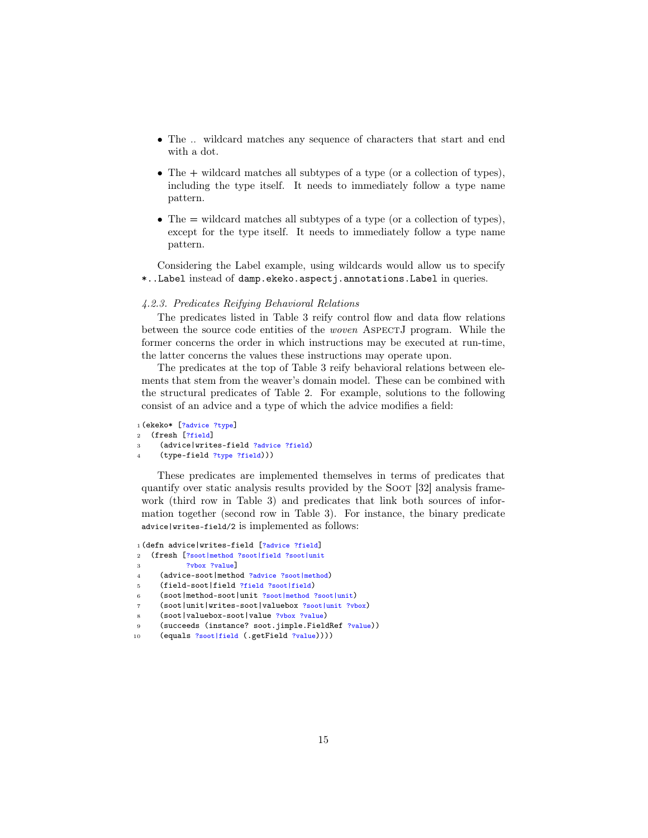- The .. wildcard matches any sequence of characters that start and end with a dot.
- The + wildcard matches all subtypes of a type (or a collection of types), including the type itself. It needs to immediately follow a type name pattern.
- The = wildcard matches all subtypes of a type (or a collection of types), except for the type itself. It needs to immediately follow a type name pattern.

Considering the Label example, using wildcards would allow us to specify \*..Label instead of damp.ekeko.aspectj.annotations.Label in queries.

#### 4.2.3. Predicates Reifying Behavioral Relations

The predicates listed in Table 3 reify control flow and data flow relations between the source code entities of the woven AspectJ program. While the former concerns the order in which instructions may be executed at run-time, the latter concerns the values these instructions may operate upon.

The predicates at the top of Table 3 reify behavioral relations between elements that stem from the weaver's domain model. These can be combined with the structural predicates of Table 2. For example, solutions to the following consist of an advice and a type of which the advice modifies a field:

```
1 (ekeko* [?advice ?type]
2 (fresh [?field]
```

```
3 (advice|writes-field ?advice ?field)
```

```
(type-field ?type ?field)))
```
These predicates are implemented themselves in terms of predicates that quantify over static analysis results provided by the Soot [32] analysis framework (third row in Table 3) and predicates that link both sources of information together (second row in Table 3). For instance, the binary predicate advice|writes-field/2 is implemented as follows:

```
1 (defn advice|writes-field [?advice ?field]
2 (fresh [?soot|method ?soot|field ?soot|unit
3 ?vbox ?value]
4 (advice-soot|method ?advice ?soot|method)
5 (field-soot|field ?field ?soot|field)
6 (soot|method-soot|unit ?soot|method ?soot|unit)
     7 (soot|unit|writes-soot|valuebox ?soot|unit ?vbox)
8 (soot|valuebox-soot|value ?vbox ?value)
9 (succeeds (instance? soot.jimple.FieldRef ?value))
```
<sup>10 (</sup>equals ?soot|field (.getField ?value))))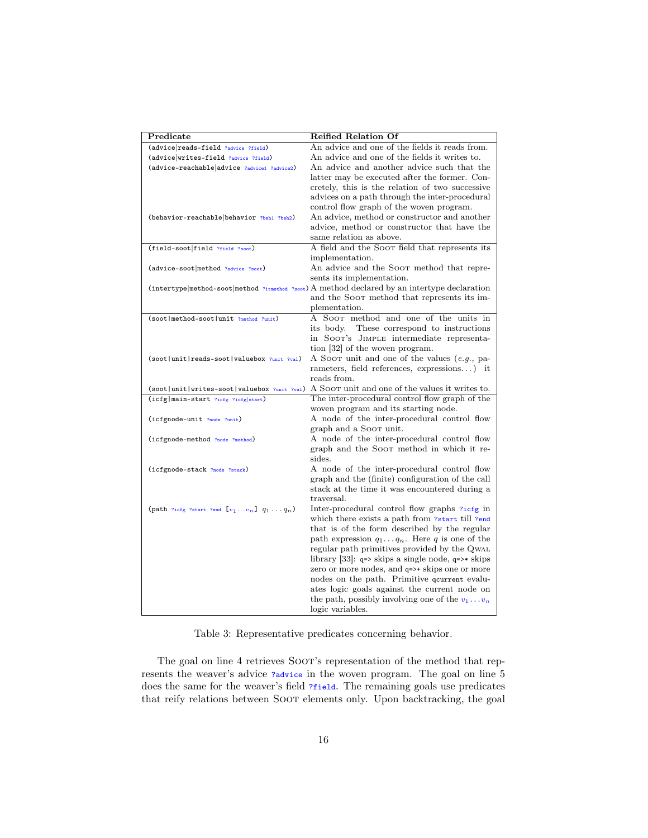| Predicate                                         | <b>Reified Relation Of</b>                                                                    |
|---------------------------------------------------|-----------------------------------------------------------------------------------------------|
| (advice reads-field ?advice ?field)               | An advice and one of the fields it reads from.                                                |
| (advice writes-field ?advice ?field)              | An advice and one of the fields it writes to.                                                 |
| (advice-reachable advice ?advice1 ?advice2)       | An advice and another advice such that the                                                    |
|                                                   | latter may be executed after the former. Con-                                                 |
|                                                   | cretely, this is the relation of two successive                                               |
|                                                   | advices on a path through the inter-procedural                                                |
|                                                   | control flow graph of the woven program.                                                      |
| (behavior-reachable behavior ?beh1 ?beh2)         | An advice, method or constructor and another                                                  |
|                                                   | advice, method or constructor that have the                                                   |
|                                                   | same relation as above.                                                                       |
| (field-soot field ?field ?soot)                   | A field and the Soor field that represents its                                                |
|                                                   | implementation.                                                                               |
| (advice-soot method ?advice ?soot)                | An advice and the Soot method that repre-                                                     |
|                                                   | sents its implementation.                                                                     |
|                                                   | (intertype  method-soot method ?itmethod ?soot) A method declared by an intertype declaration |
|                                                   | and the Soor method that represents its im-                                                   |
|                                                   | plementation.                                                                                 |
| (soot   method-soot   unit ?method ?unit)         | A SOOT method and one of the units in                                                         |
|                                                   | its body. These correspond to instructions                                                    |
|                                                   | in SOOT's JIMPLE intermediate representa-                                                     |
|                                                   | tion [32] of the woven program.                                                               |
| (soot   unit   reads-soot   valuebox ?unit ?val)  | A SOOT unit and one of the values $(e.g.,$ pa-                                                |
|                                                   | rameters, field references, expressions) it                                                   |
|                                                   | reads from.                                                                                   |
| (soot   unit   writes-soot   valuebox ?unit ?val) | A SOOT unit and one of the values it writes to.                                               |
| (icfg main-start ?icfg ?icfg start)               | The inter-procedural control flow graph of the                                                |
|                                                   | woven program and its starting node.                                                          |
| (icfgnode-unit ?node ?unit)                       | A node of the inter-procedural control flow                                                   |
|                                                   | graph and a Soor unit.                                                                        |
| (icfgnode-method ?node ?method)                   | A node of the inter-procedural control flow                                                   |
|                                                   | graph and the Soor method in which it re-                                                     |
|                                                   | sides.                                                                                        |
| (icfgnode-stack ?node ?stack)                     | A node of the inter-procedural control flow                                                   |
|                                                   | graph and the (finite) configuration of the call                                              |
|                                                   | stack at the time it was encountered during a                                                 |
|                                                   | traversal.                                                                                    |
| (path ?icfg ?start ?end $[v_1v_n]$ $q_1q_n$ )     | Inter-procedural control flow graphs ?icfg in                                                 |
|                                                   | which there exists a path from ?start till ?end                                               |
|                                                   | that is of the form described by the regular                                                  |
|                                                   | path expression $q_1 \ldots q_n$ . Here q is one of the                                       |
|                                                   | regular path primitives provided by the QWAL                                                  |
|                                                   | library [33]: $q \Rightarrow$ skips a single node, $q \Rightarrow$ skips                      |
|                                                   | zero or more nodes, and q=>+ skips one or more                                                |
|                                                   | nodes on the path. Primitive gourrent evalu-                                                  |
|                                                   | ates logic goals against the current node on                                                  |
|                                                   | the path, possibly involving one of the $v_1 \dots v_n$                                       |
|                                                   | logic variables.                                                                              |

Table 3: Representative predicates concerning behavior.

The goal on line 4 retrieves SOOT's representation of the method that represents the weaver's advice ?advice in the woven program. The goal on line 5 does the same for the weaver's field ?*field*. The remaining goals use predicates that reify relations between Soot elements only. Upon backtracking, the goal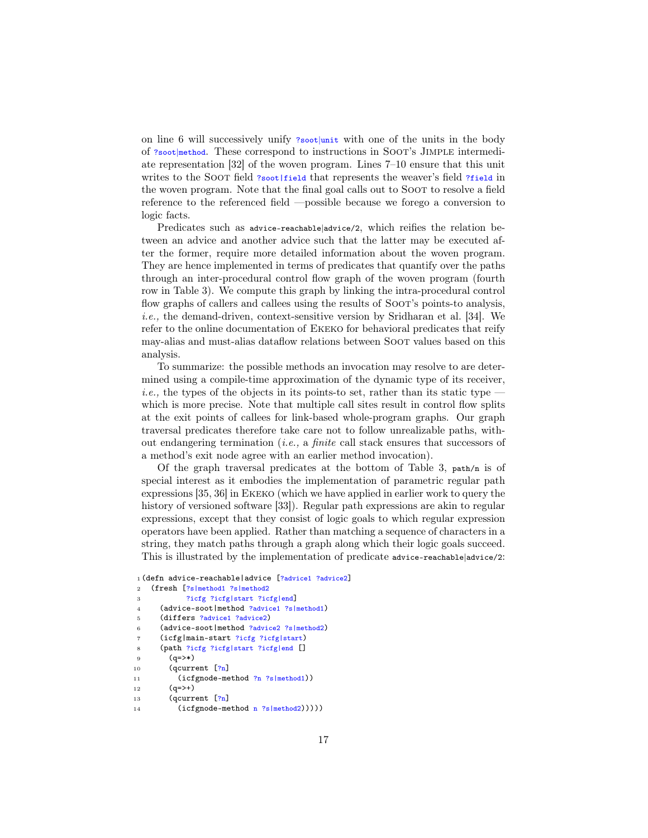on line 6 will successively unify ?soot|unit with one of the units in the body of ?soot|method. These correspond to instructions in SOOT's JIMPLE intermediate representation [32] of the woven program. Lines 7–10 ensure that this unit writes to the SOOT field ?soot|field that represents the weaver's field ?field in the woven program. Note that the final goal calls out to SOOT to resolve a field reference to the referenced field —possible because we forego a conversion to logic facts.

Predicates such as advice-reachable|advice/2, which reifies the relation between an advice and another advice such that the latter may be executed after the former, require more detailed information about the woven program. They are hence implemented in terms of predicates that quantify over the paths through an inter-procedural control flow graph of the woven program (fourth row in Table 3). We compute this graph by linking the intra-procedural control flow graphs of callers and callees using the results of Soot's points-to analysis, i.e., the demand-driven, context-sensitive version by Sridharan et al. [34]. We refer to the online documentation of Ekeko for behavioral predicates that reify may-alias and must-alias dataflow relations between Soot values based on this analysis.

To summarize: the possible methods an invocation may resolve to are determined using a compile-time approximation of the dynamic type of its receiver, *i.e.*, the types of the objects in its points-to set, rather than its static type  $$ which is more precise. Note that multiple call sites result in control flow splits at the exit points of callees for link-based whole-program graphs. Our graph traversal predicates therefore take care not to follow unrealizable paths, without endangering termination (i.e., a finite call stack ensures that successors of a method's exit node agree with an earlier method invocation).

Of the graph traversal predicates at the bottom of Table 3, path/n is of special interest as it embodies the implementation of parametric regular path expressions [35, 36] in Ekeko (which we have applied in earlier work to query the history of versioned software [33]). Regular path expressions are akin to regular expressions, except that they consist of logic goals to which regular expression operators have been applied. Rather than matching a sequence of characters in a string, they match paths through a graph along which their logic goals succeed. This is illustrated by the implementation of predicate advice-reachable|advice/2:

```
1 (defn advice-reachable|advice [?advice1 ?advice2]
```

```
2 (fresh [?s|method1 ?s|method2
```

```
3 ?icfg ?icfg|start ?icfg|end]
```

```
4 (advice-soot|method ?advice1 ?s|method1)
```

```
5 (differs ?advice1 ?advice2)
```

```
6 (advice-soot|method ?advice2 ?s|method2)
```

```
7 (icfg|main-start ?icfg ?icfg|start)
```

```
8 (path ?icfg ?icfg|start ?icfg|end []
```

```
9 (q=>*)
```

```
10 (qcurrent [?n]
```

```
11 (icfgnode-method ?n ?s|method1))
```

```
12 (a=)+
```

```
13 (qcurrent \lceil ?n \rceil
```
<sup>14 (</sup>icfgnode-method n ?s|method2)))))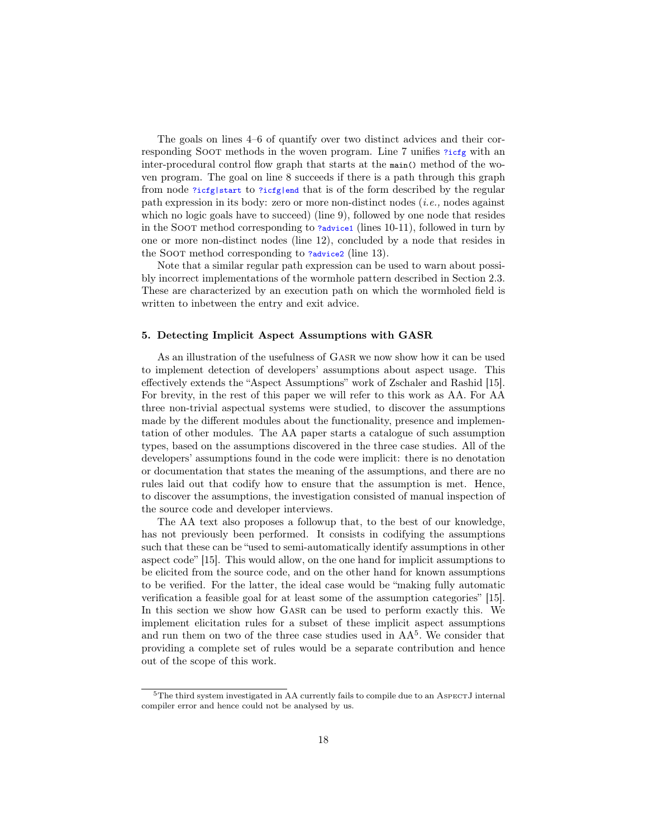The goals on lines 4–6 of quantify over two distinct advices and their corresponding Soot methods in the woven program. Line 7 unifies ?icfg with an inter-procedural control flow graph that starts at the main() method of the woven program. The goal on line 8 succeeds if there is a path through this graph from node ?icfg|start to ?icfg|end that is of the form described by the regular path expression in its body: zero or more non-distinct nodes  $(i.e.,$  nodes against which no logic goals have to succeed) (line 9), followed by one node that resides in the SOOT method corresponding to ?advice1 (lines 10-11), followed in turn by one or more non-distinct nodes (line 12), concluded by a node that resides in the SOOT method corresponding to ?advice2 (line 13).

Note that a similar regular path expression can be used to warn about possibly incorrect implementations of the wormhole pattern described in Section 2.3. These are characterized by an execution path on which the wormholed field is written to inbetween the entry and exit advice.

# 5. Detecting Implicit Aspect Assumptions with GASR

As an illustration of the usefulness of Gasr we now show how it can be used to implement detection of developers' assumptions about aspect usage. This effectively extends the "Aspect Assumptions" work of Zschaler and Rashid [15]. For brevity, in the rest of this paper we will refer to this work as AA. For AA three non-trivial aspectual systems were studied, to discover the assumptions made by the different modules about the functionality, presence and implementation of other modules. The AA paper starts a catalogue of such assumption types, based on the assumptions discovered in the three case studies. All of the developers' assumptions found in the code were implicit: there is no denotation or documentation that states the meaning of the assumptions, and there are no rules laid out that codify how to ensure that the assumption is met. Hence, to discover the assumptions, the investigation consisted of manual inspection of the source code and developer interviews.

The AA text also proposes a followup that, to the best of our knowledge, has not previously been performed. It consists in codifying the assumptions such that these can be "used to semi-automatically identify assumptions in other aspect code" [15]. This would allow, on the one hand for implicit assumptions to be elicited from the source code, and on the other hand for known assumptions to be verified. For the latter, the ideal case would be "making fully automatic verification a feasible goal for at least some of the assumption categories" [15]. In this section we show how GASR can be used to perform exactly this. We implement elicitation rules for a subset of these implicit aspect assumptions and run them on two of the three case studies used in  $AA<sup>5</sup>$ . We consider that providing a complete set of rules would be a separate contribution and hence out of the scope of this work.

<sup>&</sup>lt;sup>5</sup>The third system investigated in AA currently fails to compile due to an ASPECTJ internal compiler error and hence could not be analysed by us.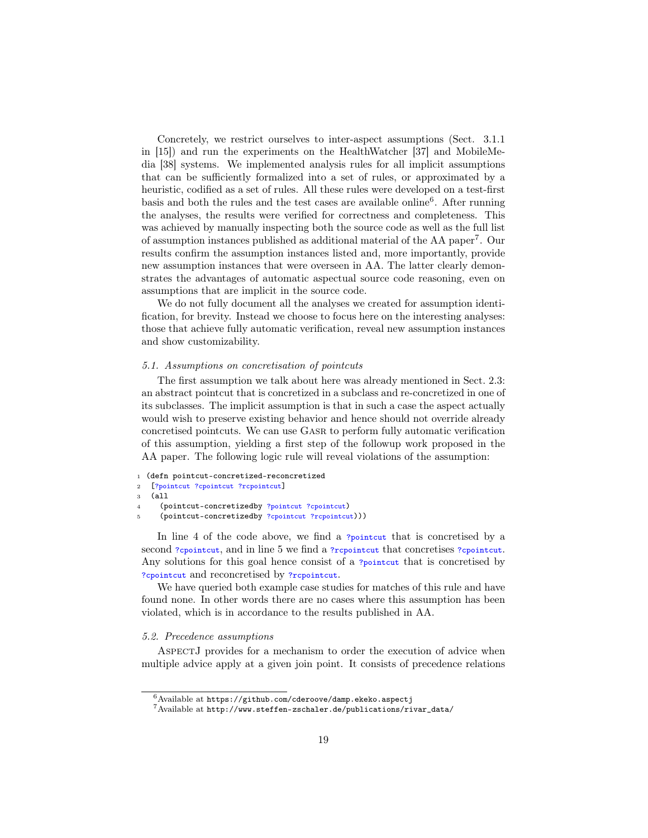Concretely, we restrict ourselves to inter-aspect assumptions (Sect. 3.1.1 in [15]) and run the experiments on the HealthWatcher [37] and MobileMedia [38] systems. We implemented analysis rules for all implicit assumptions that can be sufficiently formalized into a set of rules, or approximated by a heuristic, codified as a set of rules. All these rules were developed on a test-first basis and both the rules and the test cases are available online<sup>6</sup>. After running the analyses, the results were verified for correctness and completeness. This was achieved by manually inspecting both the source code as well as the full list of assumption instances published as additional material of the AA paper<sup>7</sup> . Our results confirm the assumption instances listed and, more importantly, provide new assumption instances that were overseen in AA. The latter clearly demonstrates the advantages of automatic aspectual source code reasoning, even on assumptions that are implicit in the source code.

We do not fully document all the analyses we created for assumption identification, for brevity. Instead we choose to focus here on the interesting analyses: those that achieve fully automatic verification, reveal new assumption instances and show customizability.

## 5.1. Assumptions on concretisation of pointcuts

The first assumption we talk about here was already mentioned in Sect. 2.3: an abstract pointcut that is concretized in a subclass and re-concretized in one of its subclasses. The implicit assumption is that in such a case the aspect actually would wish to preserve existing behavior and hence should not override already concretised pointcuts. We can use Gasr to perform fully automatic verification of this assumption, yielding a first step of the followup work proposed in the AA paper. The following logic rule will reveal violations of the assumption:

```
1 (defn pointcut-concretized-reconcretized
```

```
2 [?pointcut ?cpointcut ?rcpointcut]
```

```
3 (all
```

```
4 (pointcut-concretizedby ?pointcut ?cpointcut)
```

```
5 (pointcut-concretizedby ?cpointcut ?rcpointcut)))
```
In line 4 of the code above, we find a ?pointcut that is concretised by a second ?cpointcut, and in line 5 we find a ?rcpointcut that concretises ?cpointcut. Any solutions for this goal hence consist of a <u>?pointcut</u> that is concretised by ?cpointcut and reconcretised by ?rcpointcut.

We have queried both example case studies for matches of this rule and have found none. In other words there are no cases where this assumption has been violated, which is in accordance to the results published in AA.

# 5.2. Precedence assumptions

AspectJ provides for a mechanism to order the execution of advice when multiple advice apply at a given join point. It consists of precedence relations

 $^6$ Available at https://github.com/cderoove/damp.ekeko.aspectj

 $7$ Available at http://www.steffen-zschaler.de/publications/rivar\_data/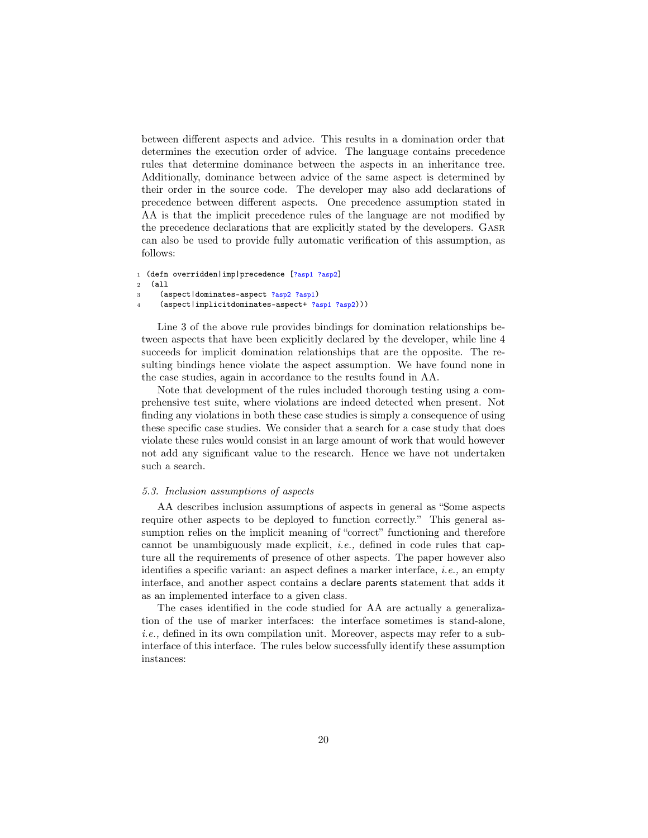between different aspects and advice. This results in a domination order that determines the execution order of advice. The language contains precedence rules that determine dominance between the aspects in an inheritance tree. Additionally, dominance between advice of the same aspect is determined by their order in the source code. The developer may also add declarations of precedence between different aspects. One precedence assumption stated in AA is that the implicit precedence rules of the language are not modified by the precedence declarations that are explicitly stated by the developers. Gasr can also be used to provide fully automatic verification of this assumption, as follows:

```
1 (defn overridden|imp|precedence [?asp1 ?asp2]
```

```
2 (all
```
- <sup>3</sup> (aspect|dominates-aspect ?asp2 ?asp1)
- <sup>4</sup> (aspect|implicitdominates-aspect+ ?asp1 ?asp2)))

Line 3 of the above rule provides bindings for domination relationships between aspects that have been explicitly declared by the developer, while line 4 succeeds for implicit domination relationships that are the opposite. The resulting bindings hence violate the aspect assumption. We have found none in the case studies, again in accordance to the results found in AA.

Note that development of the rules included thorough testing using a comprehensive test suite, where violations are indeed detected when present. Not finding any violations in both these case studies is simply a consequence of using these specific case studies. We consider that a search for a case study that does violate these rules would consist in an large amount of work that would however not add any significant value to the research. Hence we have not undertaken such a search.

#### 5.3. Inclusion assumptions of aspects

AA describes inclusion assumptions of aspects in general as "Some aspects require other aspects to be deployed to function correctly." This general assumption relies on the implicit meaning of "correct" functioning and therefore cannot be unambiguously made explicit, i.e., defined in code rules that capture all the requirements of presence of other aspects. The paper however also identifies a specific variant: an aspect defines a marker interface, i.e., an empty interface, and another aspect contains a declare parents statement that adds it as an implemented interface to a given class.

The cases identified in the code studied for AA are actually a generalization of the use of marker interfaces: the interface sometimes is stand-alone, i.e., defined in its own compilation unit. Moreover, aspects may refer to a subinterface of this interface. The rules below successfully identify these assumption instances: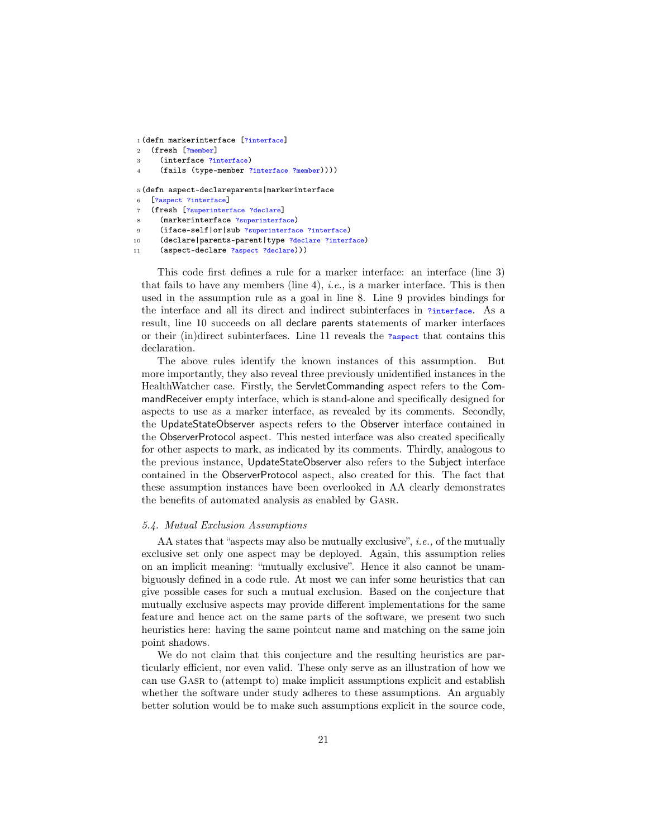```
1 (defn markerinterface [?interface]
```

```
2 (fresh [?member]
```
<sup>3</sup> (interface ?interface)

```
(fails (type-member ?interface ?member))))
```
<sup>5</sup> (defn aspect-declareparents|markerinterface

- <sup>6</sup> [?aspect ?interface]
- (fresh [?superinterface ?declare]
- (markerinterface ?superinterface)
- 9 (iface-self|or|sub ?superinterface ?interface)
- <sup>10</sup> (declare|parents-parent|type ?declare ?interface)
- <sup>11</sup> (aspect-declare ?aspect ?declare)))

This code first defines a rule for a marker interface: an interface (line 3) that fails to have any members (line 4), *i.e.*, is a marker interface. This is then used in the assumption rule as a goal in line 8. Line 9 provides bindings for the interface and all its direct and indirect subinterfaces in ?interface. As a result, line 10 succeeds on all declare parents statements of marker interfaces or their (in)direct subinterfaces. Line 11 reveals the ?aspect that contains this declaration.

The above rules identify the known instances of this assumption. But more importantly, they also reveal three previously unidentified instances in the HealthWatcher case. Firstly, the ServletCommanding aspect refers to the CommandReceiver empty interface, which is stand-alone and specifically designed for aspects to use as a marker interface, as revealed by its comments. Secondly, the UpdateStateObserver aspects refers to the Observer interface contained in the ObserverProtocol aspect. This nested interface was also created specifically for other aspects to mark, as indicated by its comments. Thirdly, analogous to the previous instance, UpdateStateObserver also refers to the Subject interface contained in the ObserverProtocol aspect, also created for this. The fact that these assumption instances have been overlooked in AA clearly demonstrates the benefits of automated analysis as enabled by Gasr.

#### 5.4. Mutual Exclusion Assumptions

AA states that "aspects may also be mutually exclusive", i.e., of the mutually exclusive set only one aspect may be deployed. Again, this assumption relies on an implicit meaning: "mutually exclusive". Hence it also cannot be unambiguously defined in a code rule. At most we can infer some heuristics that can give possible cases for such a mutual exclusion. Based on the conjecture that mutually exclusive aspects may provide different implementations for the same feature and hence act on the same parts of the software, we present two such heuristics here: having the same pointcut name and matching on the same join point shadows.

We do not claim that this conjecture and the resulting heuristics are particularly efficient, nor even valid. These only serve as an illustration of how we can use Gasr to (attempt to) make implicit assumptions explicit and establish whether the software under study adheres to these assumptions. An arguably better solution would be to make such assumptions explicit in the source code,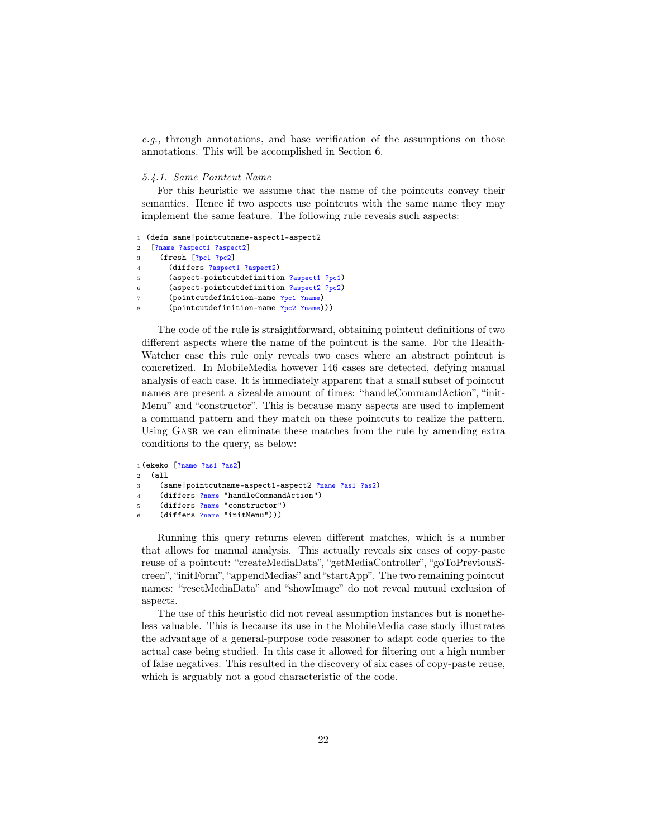e.g., through annotations, and base verification of the assumptions on those annotations. This will be accomplished in Section 6.

#### 5.4.1. Same Pointcut Name

For this heuristic we assume that the name of the pointcuts convey their semantics. Hence if two aspects use pointcuts with the same name they may implement the same feature. The following rule reveals such aspects:

```
1 (defn same|pointcutname-aspect1-aspect2
2 [?name ?aspect1 ?aspect2]
3 (fresh [?pc1 ?pc2]
       (differs ?aspect1 ?aspect2)
5 (aspect-pointcutdefinition ?aspect1 ?pc1)
6 (aspect-pointcutdefinition ?aspect2 ?pc2)
7 (pointcutdefinition-name ?pc1 ?name)
       (pointcutdefinition-name ?pc2 ?name)))
```
The code of the rule is straightforward, obtaining pointcut definitions of two different aspects where the name of the pointcut is the same. For the Health-Watcher case this rule only reveals two cases where an abstract pointcut is concretized. In MobileMedia however 146 cases are detected, defying manual analysis of each case. It is immediately apparent that a small subset of pointcut names are present a sizeable amount of times: "handleCommandAction", "init-Menu" and "constructor". This is because many aspects are used to implement a command pattern and they match on these pointcuts to realize the pattern. Using GASR we can eliminate these matches from the rule by amending extra conditions to the query, as below:

```
1 (ekeko [?name ?as1 ?as2]
2 (all
3 (same|pointcutname-aspect1-aspect2 ?name ?as1 ?as2)
4 (differs ?name "handleCommandAction")
5 (differs ?name "constructor")
6 (differs ?name "initMenu")))
```
Running this query returns eleven different matches, which is a number that allows for manual analysis. This actually reveals six cases of copy-paste reuse of a pointcut: "createMediaData", "getMediaController", "goToPreviousScreen", "initForm", "appendMedias" and "startApp". The two remaining pointcut names: "resetMediaData" and "showImage" do not reveal mutual exclusion of aspects.

The use of this heuristic did not reveal assumption instances but is nonetheless valuable. This is because its use in the MobileMedia case study illustrates the advantage of a general-purpose code reasoner to adapt code queries to the actual case being studied. In this case it allowed for filtering out a high number of false negatives. This resulted in the discovery of six cases of copy-paste reuse, which is arguably not a good characteristic of the code.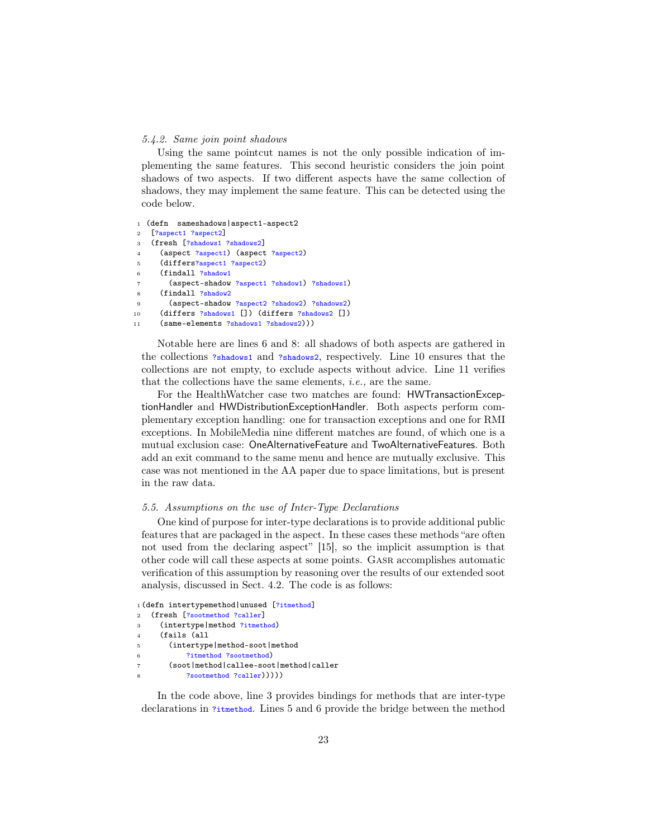#### 5.4.2. Same join point shadows

Using the same pointcut names is not the only possible indication of implementing the same features. This second heuristic considers the join point shadows of two aspects. If two different aspects have the same collection of shadows, they may implement the same feature. This can be detected using the code below.

<sup>1</sup> (defn sameshadows|aspect1-aspect2

- <sup>2</sup> [?aspect1 ?aspect2] <sup>3</sup> (fresh [?shadows1 ?shadows2]
- <sup>4</sup> (aspect ?aspect1) (aspect ?aspect2)
- <sup>5</sup> (differs?aspect1 ?aspect2)
- <sup>6</sup> (findall ?shadow1
- <sup>7</sup> (aspect-shadow ?aspect1 ?shadow1) ?shadows1)
- (findall ?shadow2
- <sup>9</sup> (aspect-shadow ?aspect2 ?shadow2) ?shadows2)
- 10 (differs ?shadows1 []) (differs ?shadows2 [])
- <sup>11</sup> (same-elements ?shadows1 ?shadows2)))

Notable here are lines 6 and 8: all shadows of both aspects are gathered in the collections ?shadows1 and ?shadows2, respectively. Line 10 ensures that the collections are not empty, to exclude aspects without advice. Line 11 verifies that the collections have the same elements, i.e., are the same.

For the HealthWatcher case two matches are found: HWTransactionExceptionHandler and HWDistributionExceptionHandler. Both aspects perform complementary exception handling: one for transaction exceptions and one for RMI exceptions. In MobileMedia nine different matches are found, of which one is a mutual exclusion case: OneAlternativeFeature and TwoAlternativeFeatures. Both add an exit command to the same menu and hence are mutually exclusive. This case was not mentioned in the AA paper due to space limitations, but is present in the raw data.

# 5.5. Assumptions on the use of Inter-Type Declarations

One kind of purpose for inter-type declarations is to provide additional public features that are packaged in the aspect. In these cases these methods "are often not used from the declaring aspect" [15], so the implicit assumption is that other code will call these aspects at some points. Gasr accomplishes automatic verification of this assumption by reasoning over the results of our extended soot analysis, discussed in Sect. 4.2. The code is as follows:

```
1 (defn intertypemethod|unused [?itmethod]
2 (fresh [?sootmethod ?caller]
3 (intertype|method ?itmethod)
4 (fails (all
5 (intertype|method-soot|method
6 ?itmethod ?sootmethod)
7 (soot|method|callee-soot|method|caller
          ?sootmethod ?caller)))))
```
In the code above, line 3 provides bindings for methods that are inter-type declarations in ?itmethod. Lines 5 and 6 provide the bridge between the method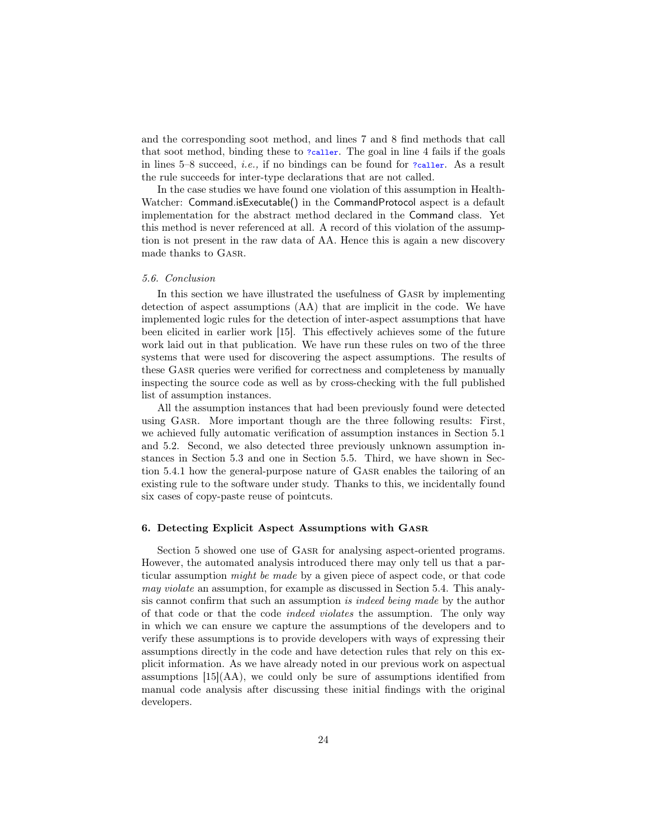and the corresponding soot method, and lines 7 and 8 find methods that call that soot method, binding these to ?caller. The goal in line 4 fails if the goals in lines 5–8 succeed, *i.e.*, if no bindings can be found for  $?cal$  As a result the rule succeeds for inter-type declarations that are not called.

In the case studies we have found one violation of this assumption in Health-Watcher: Command.isExecutable() in the CommandProtocol aspect is a default implementation for the abstract method declared in the Command class. Yet this method is never referenced at all. A record of this violation of the assumption is not present in the raw data of AA. Hence this is again a new discovery made thanks to Gasr.

#### 5.6. Conclusion

In this section we have illustrated the usefulness of Gasr by implementing detection of aspect assumptions (AA) that are implicit in the code. We have implemented logic rules for the detection of inter-aspect assumptions that have been elicited in earlier work [15]. This effectively achieves some of the future work laid out in that publication. We have run these rules on two of the three systems that were used for discovering the aspect assumptions. The results of these Gasr queries were verified for correctness and completeness by manually inspecting the source code as well as by cross-checking with the full published list of assumption instances.

All the assumption instances that had been previously found were detected using Gasr. More important though are the three following results: First, we achieved fully automatic verification of assumption instances in Section 5.1 and 5.2. Second, we also detected three previously unknown assumption instances in Section 5.3 and one in Section 5.5. Third, we have shown in Section 5.4.1 how the general-purpose nature of Gasr enables the tailoring of an existing rule to the software under study. Thanks to this, we incidentally found six cases of copy-paste reuse of pointcuts.

### 6. Detecting Explicit Aspect Assumptions with Gasr

Section 5 showed one use of Gasr for analysing aspect-oriented programs. However, the automated analysis introduced there may only tell us that a particular assumption might be made by a given piece of aspect code, or that code may violate an assumption, for example as discussed in Section 5.4. This analysis cannot confirm that such an assumption is indeed being made by the author of that code or that the code indeed violates the assumption. The only way in which we can ensure we capture the assumptions of the developers and to verify these assumptions is to provide developers with ways of expressing their assumptions directly in the code and have detection rules that rely on this explicit information. As we have already noted in our previous work on aspectual assumptions  $[15](AA)$ , we could only be sure of assumptions identified from manual code analysis after discussing these initial findings with the original developers.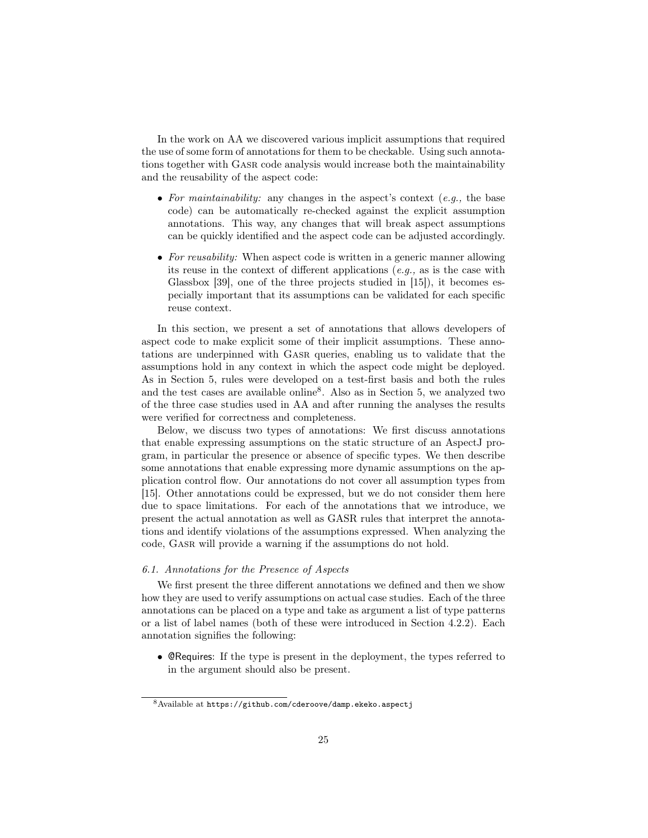In the work on AA we discovered various implicit assumptions that required the use of some form of annotations for them to be checkable. Using such annotations together with Gasr code analysis would increase both the maintainability and the reusability of the aspect code:

- For maintainability: any changes in the aspect's context  $(e.g., the base)$ code) can be automatically re-checked against the explicit assumption annotations. This way, any changes that will break aspect assumptions can be quickly identified and the aspect code can be adjusted accordingly.
- For reusability: When aspect code is written in a generic manner allowing its reuse in the context of different applications (e.g., as is the case with Glassbox [39], one of the three projects studied in [15]), it becomes especially important that its assumptions can be validated for each specific reuse context.

In this section, we present a set of annotations that allows developers of aspect code to make explicit some of their implicit assumptions. These annotations are underpinned with Gasr queries, enabling us to validate that the assumptions hold in any context in which the aspect code might be deployed. As in Section 5, rules were developed on a test-first basis and both the rules and the test cases are available online<sup>8</sup>. Also as in Section 5, we analyzed two of the three case studies used in AA and after running the analyses the results were verified for correctness and completeness.

Below, we discuss two types of annotations: We first discuss annotations that enable expressing assumptions on the static structure of an AspectJ program, in particular the presence or absence of specific types. We then describe some annotations that enable expressing more dynamic assumptions on the application control flow. Our annotations do not cover all assumption types from [15]. Other annotations could be expressed, but we do not consider them here due to space limitations. For each of the annotations that we introduce, we present the actual annotation as well as GASR rules that interpret the annotations and identify violations of the assumptions expressed. When analyzing the code, Gasr will provide a warning if the assumptions do not hold.

# 6.1. Annotations for the Presence of Aspects

We first present the three different annotations we defined and then we show how they are used to verify assumptions on actual case studies. Each of the three annotations can be placed on a type and take as argument a list of type patterns or a list of label names (both of these were introduced in Section 4.2.2). Each annotation signifies the following:

• @Requires: If the type is present in the deployment, the types referred to in the argument should also be present.

<sup>8</sup>Available at https://github.com/cderoove/damp.ekeko.aspectj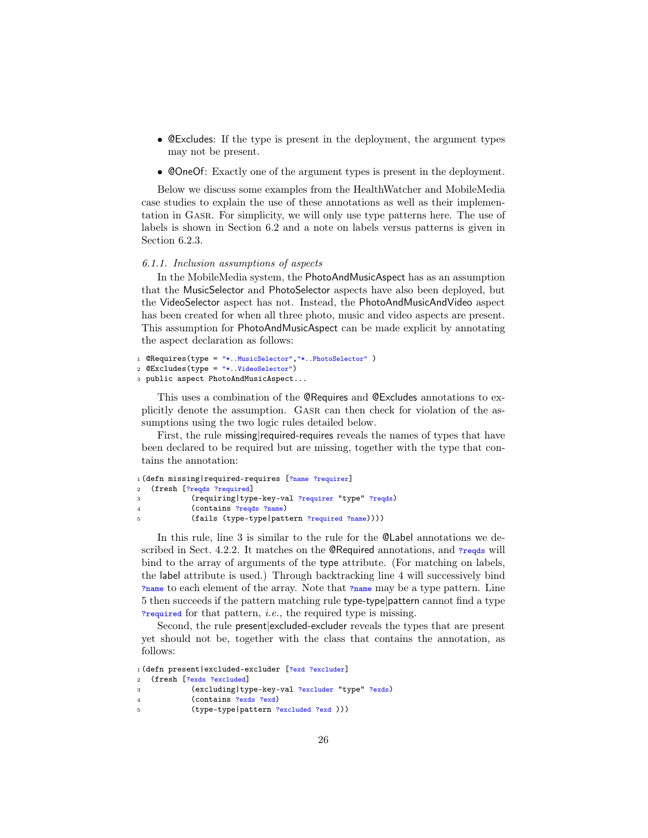- @Excludes: If the type is present in the deployment, the argument types may not be present.
- @OneOf: Exactly one of the argument types is present in the deployment.

Below we discuss some examples from the HealthWatcher and MobileMedia case studies to explain the use of these annotations as well as their implementation in Gasr. For simplicity, we will only use type patterns here. The use of labels is shown in Section 6.2 and a note on labels versus patterns is given in Section 6.2.3.

# 6.1.1. Inclusion assumptions of aspects

In the MobileMedia system, the PhotoAndMusicAspect has as an assumption that the MusicSelector and PhotoSelector aspects have also been deployed, but the VideoSelector aspect has not. Instead, the PhotoAndMusicAndVideo aspect has been created for when all three photo, music and video aspects are present. This assumption for PhotoAndMusicAspect can be made explicit by annotating the aspect declaration as follows:

```
1 @Requires(type = "*..MusicSelector","*..PhotoSelector" )
```

```
2 @Excludes(type = "*..VideoSelector")
```

```
3 public aspect PhotoAndMusicAspect...
```
This uses a combination of the @Requires and @Excludes annotations to explicitly denote the assumption. Gasr can then check for violation of the assumptions using the two logic rules detailed below.

First, the rule missing required-requires reveals the names of types that have been declared to be required but are missing, together with the type that contains the annotation:

```
1 (defn missing|required-requires [?name ?requirer]
2 (fresh [?reqds ?required]
3 (requiring|type-key-val ?requirer "type" ?reqds)
4 (contains ?reqds ?name)
5 (fails (type-type|pattern ?required ?name))))
```
In this rule, line 3 is similar to the rule for the @Label annotations we described in Sect. 4.2.2. It matches on the **@Required** annotations, and  $\gamma_{\text{reqds}}$  will bind to the array of arguments of the type attribute. (For matching on labels, the label attribute is used.) Through backtracking line 4 will successively bind ?name to each element of the array. Note that ?name may be a type pattern. Line 5 then succeeds if the pattern matching rule type-type|pattern cannot find a type ?required for that pattern, i.e., the required type is missing.

Second, the rule present|excluded-excluder reveals the types that are present yet should not be, together with the class that contains the annotation, as follows:

```
1 (defn present|excluded-excluder [?exd ?excluder]
2 (fresh [?exds ?excluded]
3 (excluding|type-key-val ?excluder "type" ?exds)
4 (contains ?exds ?exd)
5 (type-type|pattern ?excluded ?exd )))
```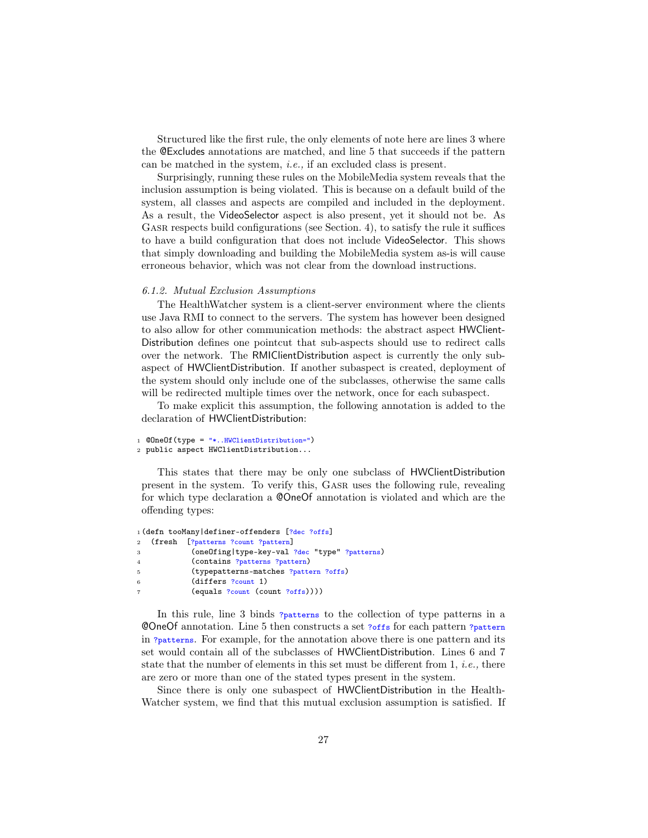Structured like the first rule, the only elements of note here are lines 3 where the @Excludes annotations are matched, and line 5 that succeeds if the pattern can be matched in the system, i.e., if an excluded class is present.

Surprisingly, running these rules on the MobileMedia system reveals that the inclusion assumption is being violated. This is because on a default build of the system, all classes and aspects are compiled and included in the deployment. As a result, the VideoSelector aspect is also present, yet it should not be. As GASR respects build configurations (see Section. 4), to satisfy the rule it suffices to have a build configuration that does not include VideoSelector. This shows that simply downloading and building the MobileMedia system as-is will cause erroneous behavior, which was not clear from the download instructions.

# 6.1.2. Mutual Exclusion Assumptions

The HealthWatcher system is a client-server environment where the clients use Java RMI to connect to the servers. The system has however been designed to also allow for other communication methods: the abstract aspect HWClient-Distribution defines one pointcut that sub-aspects should use to redirect calls over the network. The RMIClientDistribution aspect is currently the only subaspect of HWClientDistribution. If another subaspect is created, deployment of the system should only include one of the subclasses, otherwise the same calls will be redirected multiple times over the network, once for each subaspect.

To make explicit this assumption, the following annotation is added to the declaration of HWClientDistribution:

```
1 @OneOf(type = "*..HWClientDistribution=")
```

```
2 public aspect HWClientDistribution...
```
This states that there may be only one subclass of HWClientDistribution present in the system. To verify this, Gasr uses the following rule, revealing for which type declaration a @OneOf annotation is violated and which are the offending types:

```
1 (defn tooMany definer-offenders [?dec ?offs]
2 (fresh [?patterns ?count ?pattern]
3 (oneOfing|type-key-val ?dec "type" ?patterns)
4 (contains ?patterns ?pattern)
5 (typepatterns-matches ?pattern ?offs)
6 (differs ?count 1)
           (equals ?count (count ?offs))))
```
In this rule, line 3 binds ?patterns to the collection of type patterns in a @OneOf annotation. Line 5 then constructs a set ?offs for each pattern ?pattern in ?patterns. For example, for the annotation above there is one pattern and its set would contain all of the subclasses of HWClientDistribution. Lines 6 and 7 state that the number of elements in this set must be different from  $1, i.e.,$  there are zero or more than one of the stated types present in the system.

Since there is only one subaspect of HWClientDistribution in the Health-Watcher system, we find that this mutual exclusion assumption is satisfied. If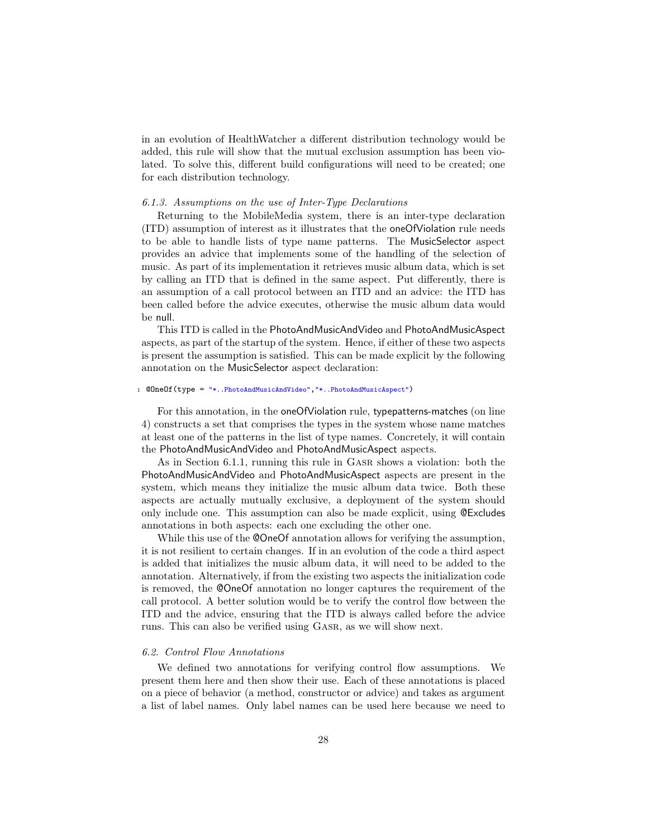in an evolution of HealthWatcher a different distribution technology would be added, this rule will show that the mutual exclusion assumption has been violated. To solve this, different build configurations will need to be created; one for each distribution technology.

# 6.1.3. Assumptions on the use of Inter-Type Declarations

Returning to the MobileMedia system, there is an inter-type declaration (ITD) assumption of interest as it illustrates that the oneOfViolation rule needs to be able to handle lists of type name patterns. The MusicSelector aspect provides an advice that implements some of the handling of the selection of music. As part of its implementation it retrieves music album data, which is set by calling an ITD that is defined in the same aspect. Put differently, there is an assumption of a call protocol between an ITD and an advice: the ITD has been called before the advice executes, otherwise the music album data would be null.

This ITD is called in the PhotoAndMusicAndVideo and PhotoAndMusicAspect aspects, as part of the startup of the system. Hence, if either of these two aspects is present the assumption is satisfied. This can be made explicit by the following annotation on the MusicSelector aspect declaration:

#### <sup>1</sup> @OneOf(type = "\*..PhotoAndMusicAndVideo","\*..PhotoAndMusicAspect")

For this annotation, in the oneOfViolation rule, typepatterns-matches (on line 4) constructs a set that comprises the types in the system whose name matches at least one of the patterns in the list of type names. Concretely, it will contain the PhotoAndMusicAndVideo and PhotoAndMusicAspect aspects.

As in Section 6.1.1, running this rule in Gasr shows a violation: both the PhotoAndMusicAndVideo and PhotoAndMusicAspect aspects are present in the system, which means they initialize the music album data twice. Both these aspects are actually mutually exclusive, a deployment of the system should only include one. This assumption can also be made explicit, using @Excludes annotations in both aspects: each one excluding the other one.

While this use of the **@OneOf** annotation allows for verifying the assumption, it is not resilient to certain changes. If in an evolution of the code a third aspect is added that initializes the music album data, it will need to be added to the annotation. Alternatively, if from the existing two aspects the initialization code is removed, the @OneOf annotation no longer captures the requirement of the call protocol. A better solution would be to verify the control flow between the ITD and the advice, ensuring that the ITD is always called before the advice runs. This can also be verified using Gasr, as we will show next.

# 6.2. Control Flow Annotations

We defined two annotations for verifying control flow assumptions. We present them here and then show their use. Each of these annotations is placed on a piece of behavior (a method, constructor or advice) and takes as argument a list of label names. Only label names can be used here because we need to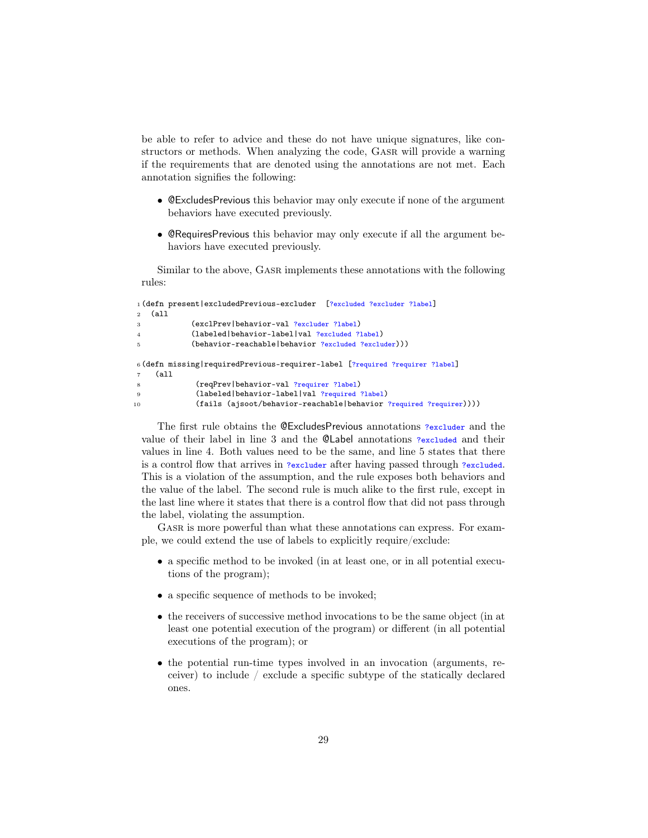be able to refer to advice and these do not have unique signatures, like constructors or methods. When analyzing the code, Gasr will provide a warning if the requirements that are denoted using the annotations are not met. Each annotation signifies the following:

- @ExcludesPrevious this behavior may only execute if none of the argument behaviors have executed previously.
- @RequiresPrevious this behavior may only execute if all the argument behaviors have executed previously.

Similar to the above, Gasr implements these annotations with the following rules:

```
1 (defn present|excludedPrevious-excluder [?excluded ?excluder ?label]
2 (all
3 (exclPrev|behavior-val ?excluder ?label)
4 (labeled|behavior-label|val ?excluded ?label)
5 (behavior-reachable|behavior ?excluded ?excluder)))
6 (defn missing|requiredPrevious-requirer-label [?required ?requirer ?label]
7 (all
8 (reqPrev|behavior-val ?requirer ?label)
9 (labeled|behavior-label|val ?required ?label)
10 (fails (ajsoot/behavior-reachable|behavior ?required ?requirer))))
```
The first rule obtains the @ExcludesPrevious annotations ?excluder and the value of their label in line 3 and the @Label annotations ?excluded and their values in line 4. Both values need to be the same, and line 5 states that there is a control flow that arrives in ?excluder after having passed through ?excluded. This is a violation of the assumption, and the rule exposes both behaviors and the value of the label. The second rule is much alike to the first rule, except in the last line where it states that there is a control flow that did not pass through the label, violating the assumption.

GASR is more powerful than what these annotations can express. For example, we could extend the use of labels to explicitly require/exclude:

- a specific method to be invoked (in at least one, or in all potential executions of the program);
- a specific sequence of methods to be invoked;
- the receivers of successive method invocations to be the same object (in at least one potential execution of the program) or different (in all potential executions of the program); or
- the potential run-time types involved in an invocation (arguments, receiver) to include / exclude a specific subtype of the statically declared ones.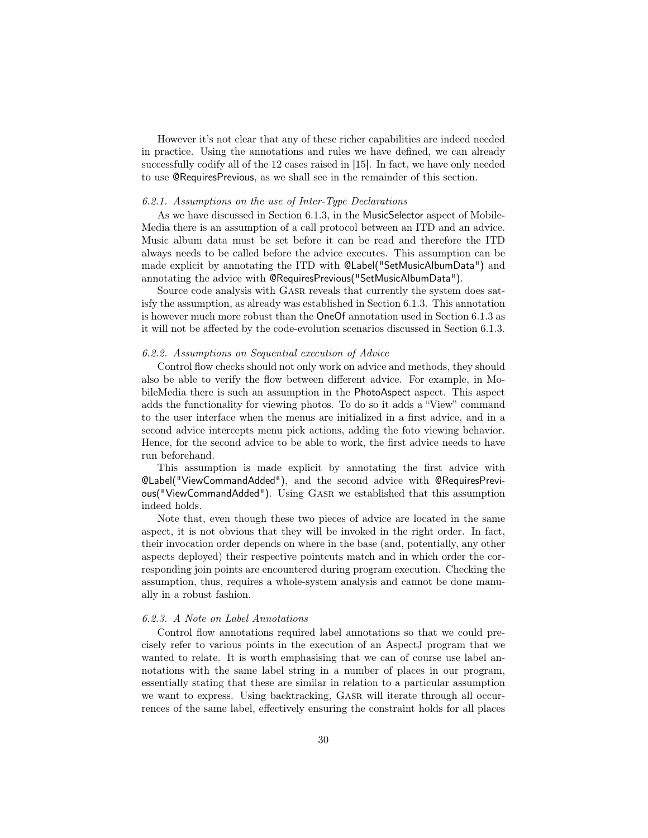However it's not clear that any of these richer capabilities are indeed needed in practice. Using the annotations and rules we have defined, we can already successfully codify all of the 12 cases raised in [15]. In fact, we have only needed to use @RequiresPrevious, as we shall see in the remainder of this section.

#### 6.2.1. Assumptions on the use of Inter-Type Declarations

As we have discussed in Section 6.1.3, in the MusicSelector aspect of Mobile-Media there is an assumption of a call protocol between an ITD and an advice. Music album data must be set before it can be read and therefore the ITD always needs to be called before the advice executes. This assumption can be made explicit by annotating the ITD with @Label("SetMusicAlbumData") and annotating the advice with @RequiresPrevious("SetMusicAlbumData").

Source code analysis with Gasr reveals that currently the system does satisfy the assumption, as already was established in Section 6.1.3. This annotation is however much more robust than the OneOf annotation used in Section 6.1.3 as it will not be affected by the code-evolution scenarios discussed in Section 6.1.3.

# 6.2.2. Assumptions on Sequential execution of Advice

Control flow checks should not only work on advice and methods, they should also be able to verify the flow between different advice. For example, in MobileMedia there is such an assumption in the PhotoAspect aspect. This aspect adds the functionality for viewing photos. To do so it adds a "View" command to the user interface when the menus are initialized in a first advice, and in a second advice intercepts menu pick actions, adding the foto viewing behavior. Hence, for the second advice to be able to work, the first advice needs to have run beforehand.

This assumption is made explicit by annotating the first advice with @Label("ViewCommandAdded"), and the second advice with @RequiresPrevious("ViewCommandAdded"). Using GASR we established that this assumption indeed holds.

Note that, even though these two pieces of advice are located in the same aspect, it is not obvious that they will be invoked in the right order. In fact, their invocation order depends on where in the base (and, potentially, any other aspects deployed) their respective pointcuts match and in which order the corresponding join points are encountered during program execution. Checking the assumption, thus, requires a whole-system analysis and cannot be done manually in a robust fashion.

#### 6.2.3. A Note on Label Annotations

Control flow annotations required label annotations so that we could precisely refer to various points in the execution of an AspectJ program that we wanted to relate. It is worth emphasising that we can of course use label annotations with the same label string in a number of places in our program, essentially stating that these are similar in relation to a particular assumption we want to express. Using backtracking, GASR will iterate through all occurrences of the same label, effectively ensuring the constraint holds for all places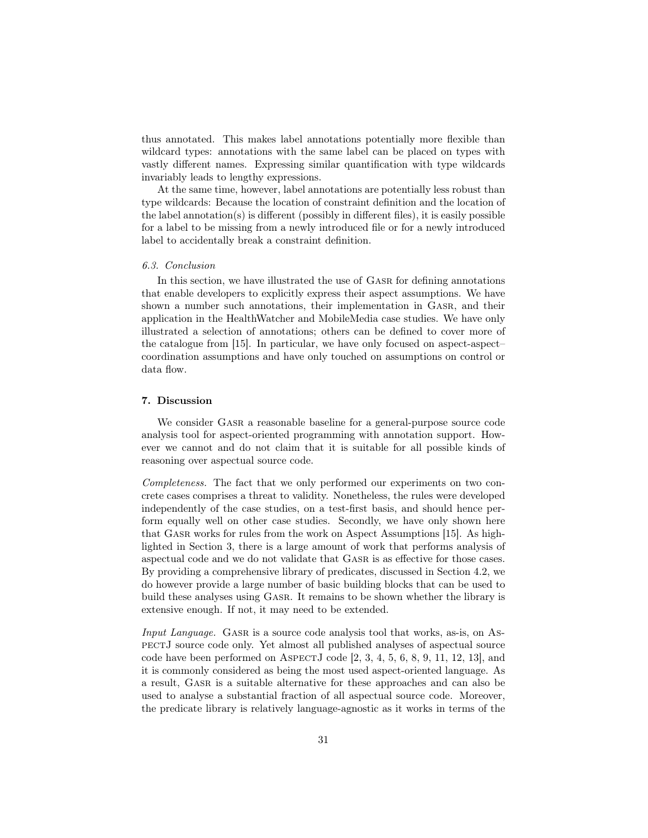thus annotated. This makes label annotations potentially more flexible than wildcard types: annotations with the same label can be placed on types with vastly different names. Expressing similar quantification with type wildcards invariably leads to lengthy expressions.

At the same time, however, label annotations are potentially less robust than type wildcards: Because the location of constraint definition and the location of the label annotation(s) is different (possibly in different files), it is easily possible for a label to be missing from a newly introduced file or for a newly introduced label to accidentally break a constraint definition.

#### 6.3. Conclusion

In this section, we have illustrated the use of Gasr for defining annotations that enable developers to explicitly express their aspect assumptions. We have shown a number such annotations, their implementation in Gasr, and their application in the HealthWatcher and MobileMedia case studies. We have only illustrated a selection of annotations; others can be defined to cover more of the catalogue from [15]. In particular, we have only focused on aspect-aspect– coordination assumptions and have only touched on assumptions on control or data flow.

# 7. Discussion

We consider GASR a reasonable baseline for a general-purpose source code analysis tool for aspect-oriented programming with annotation support. However we cannot and do not claim that it is suitable for all possible kinds of reasoning over aspectual source code.

Completeness. The fact that we only performed our experiments on two concrete cases comprises a threat to validity. Nonetheless, the rules were developed independently of the case studies, on a test-first basis, and should hence perform equally well on other case studies. Secondly, we have only shown here that Gasr works for rules from the work on Aspect Assumptions [15]. As highlighted in Section 3, there is a large amount of work that performs analysis of aspectual code and we do not validate that Gasr is as effective for those cases. By providing a comprehensive library of predicates, discussed in Section 4.2, we do however provide a large number of basic building blocks that can be used to build these analyses using Gasr. It remains to be shown whether the library is extensive enough. If not, it may need to be extended.

Input Language. GASR is a source code analysis tool that works, as-is, on AspectJ source code only. Yet almost all published analyses of aspectual source code have been performed on ASPECTJ code  $[2, 3, 4, 5, 6, 8, 9, 11, 12, 13]$ , and it is commonly considered as being the most used aspect-oriented language. As a result, Gasr is a suitable alternative for these approaches and can also be used to analyse a substantial fraction of all aspectual source code. Moreover, the predicate library is relatively language-agnostic as it works in terms of the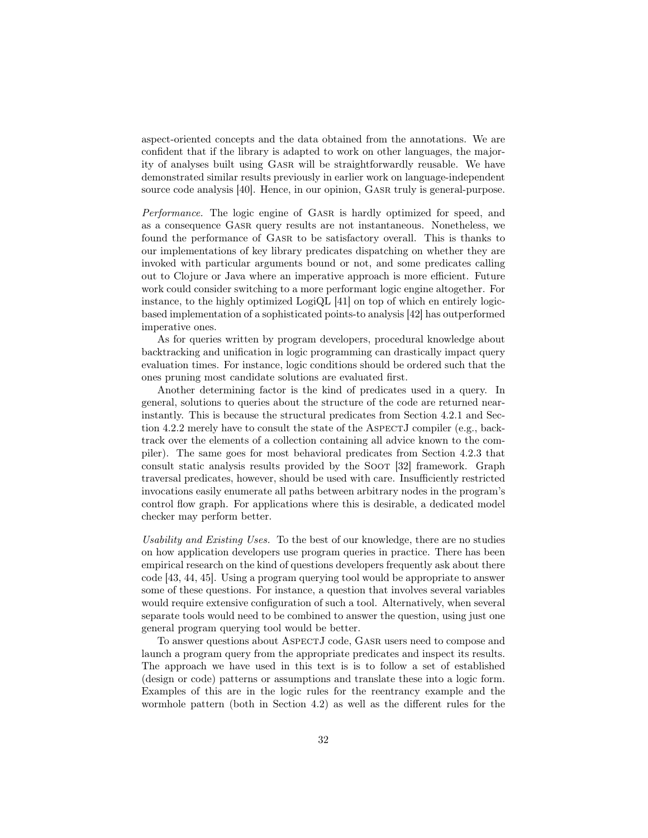aspect-oriented concepts and the data obtained from the annotations. We are confident that if the library is adapted to work on other languages, the majority of analyses built using Gasr will be straightforwardly reusable. We have demonstrated similar results previously in earlier work on language-independent source code analysis [40]. Hence, in our opinion, Gasr truly is general-purpose.

Performance. The logic engine of GASR is hardly optimized for speed, and as a consequence Gasr query results are not instantaneous. Nonetheless, we found the performance of Gasr to be satisfactory overall. This is thanks to our implementations of key library predicates dispatching on whether they are invoked with particular arguments bound or not, and some predicates calling out to Clojure or Java where an imperative approach is more efficient. Future work could consider switching to a more performant logic engine altogether. For instance, to the highly optimized LogiQL [41] on top of which en entirely logicbased implementation of a sophisticated points-to analysis [42] has outperformed imperative ones.

As for queries written by program developers, procedural knowledge about backtracking and unification in logic programming can drastically impact query evaluation times. For instance, logic conditions should be ordered such that the ones pruning most candidate solutions are evaluated first.

Another determining factor is the kind of predicates used in a query. In general, solutions to queries about the structure of the code are returned nearinstantly. This is because the structural predicates from Section 4.2.1 and Section 4.2.2 merely have to consult the state of the ASPECTJ compiler (e.g., backtrack over the elements of a collection containing all advice known to the compiler). The same goes for most behavioral predicates from Section 4.2.3 that consult static analysis results provided by the Soot [32] framework. Graph traversal predicates, however, should be used with care. Insufficiently restricted invocations easily enumerate all paths between arbitrary nodes in the program's control flow graph. For applications where this is desirable, a dedicated model checker may perform better.

Usability and Existing Uses. To the best of our knowledge, there are no studies on how application developers use program queries in practice. There has been empirical research on the kind of questions developers frequently ask about there code [43, 44, 45]. Using a program querying tool would be appropriate to answer some of these questions. For instance, a question that involves several variables would require extensive configuration of such a tool. Alternatively, when several separate tools would need to be combined to answer the question, using just one general program querying tool would be better.

To answer questions about AspectJ code, Gasr users need to compose and launch a program query from the appropriate predicates and inspect its results. The approach we have used in this text is is to follow a set of established (design or code) patterns or assumptions and translate these into a logic form. Examples of this are in the logic rules for the reentrancy example and the wormhole pattern (both in Section 4.2) as well as the different rules for the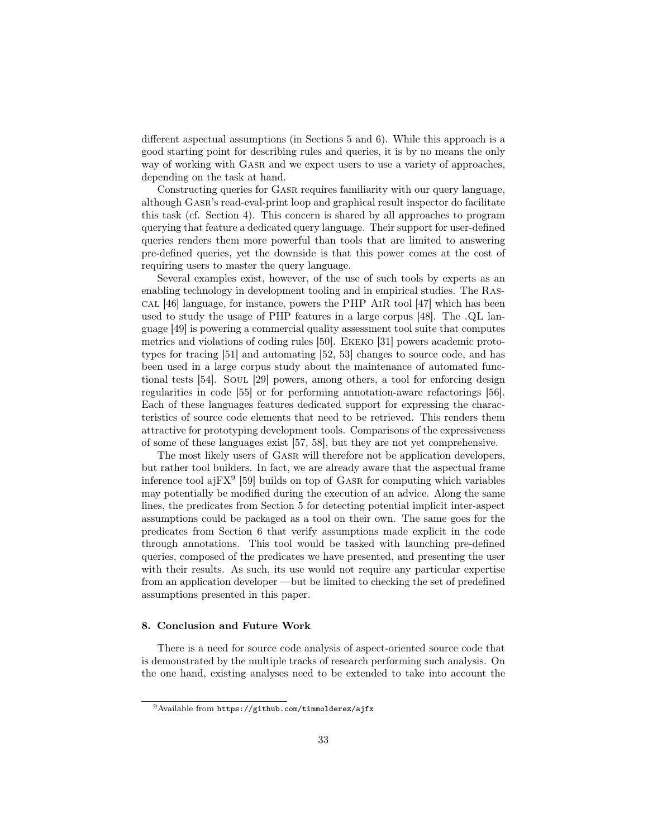different aspectual assumptions (in Sections 5 and 6). While this approach is a good starting point for describing rules and queries, it is by no means the only way of working with Gasr and we expect users to use a variety of approaches, depending on the task at hand.

Constructing queries for GASR requires familiarity with our query language, although Gasr's read-eval-print loop and graphical result inspector do facilitate this task (cf. Section 4). This concern is shared by all approaches to program querying that feature a dedicated query language. Their support for user-defined queries renders them more powerful than tools that are limited to answering pre-defined queries, yet the downside is that this power comes at the cost of requiring users to master the query language.

Several examples exist, however, of the use of such tools by experts as an enabling technology in development tooling and in empirical studies. The Rascal [46] language, for instance, powers the PHP AiR tool [47] which has been used to study the usage of PHP features in a large corpus [48]. The .QL language [49] is powering a commercial quality assessment tool suite that computes metrics and violations of coding rules [50]. Ekeko [31] powers academic prototypes for tracing [51] and automating [52, 53] changes to source code, and has been used in a large corpus study about the maintenance of automated functional tests [54]. Soul [29] powers, among others, a tool for enforcing design regularities in code [55] or for performing annotation-aware refactorings [56]. Each of these languages features dedicated support for expressing the characteristics of source code elements that need to be retrieved. This renders them attractive for prototyping development tools. Comparisons of the expressiveness of some of these languages exist [57, 58], but they are not yet comprehensive.

The most likely users of GASR will therefore not be application developers, but rather tool builders. In fact, we are already aware that the aspectual frame inference tool aj $FX^9$  [59] builds on top of GASR for computing which variables may potentially be modified during the execution of an advice. Along the same lines, the predicates from Section 5 for detecting potential implicit inter-aspect assumptions could be packaged as a tool on their own. The same goes for the predicates from Section 6 that verify assumptions made explicit in the code through annotations. This tool would be tasked with launching pre-defined queries, composed of the predicates we have presented, and presenting the user with their results. As such, its use would not require any particular expertise from an application developer —but be limited to checking the set of predefined assumptions presented in this paper.

# 8. Conclusion and Future Work

There is a need for source code analysis of aspect-oriented source code that is demonstrated by the multiple tracks of research performing such analysis. On the one hand, existing analyses need to be extended to take into account the

<sup>9</sup>Available from https://github.com/timmolderez/ajfx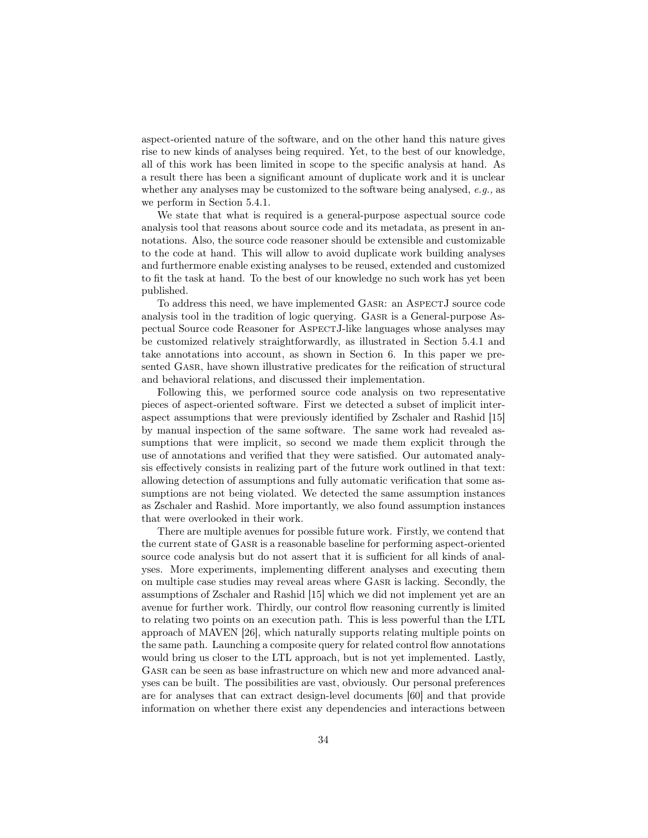aspect-oriented nature of the software, and on the other hand this nature gives rise to new kinds of analyses being required. Yet, to the best of our knowledge, all of this work has been limited in scope to the specific analysis at hand. As a result there has been a significant amount of duplicate work and it is unclear whether any analyses may be customized to the software being analysed,  $e.g.,$  as we perform in Section 5.4.1.

We state that what is required is a general-purpose aspectual source code analysis tool that reasons about source code and its metadata, as present in annotations. Also, the source code reasoner should be extensible and customizable to the code at hand. This will allow to avoid duplicate work building analyses and furthermore enable existing analyses to be reused, extended and customized to fit the task at hand. To the best of our knowledge no such work has yet been published.

To address this need, we have implemented Gasr: an AspectJ source code analysis tool in the tradition of logic querying. Gasr is a General-purpose Aspectual Source code Reasoner for AspectJ-like languages whose analyses may be customized relatively straightforwardly, as illustrated in Section 5.4.1 and take annotations into account, as shown in Section 6. In this paper we presented Gasr, have shown illustrative predicates for the reification of structural and behavioral relations, and discussed their implementation.

Following this, we performed source code analysis on two representative pieces of aspect-oriented software. First we detected a subset of implicit interaspect assumptions that were previously identified by Zschaler and Rashid [15] by manual inspection of the same software. The same work had revealed assumptions that were implicit, so second we made them explicit through the use of annotations and verified that they were satisfied. Our automated analysis effectively consists in realizing part of the future work outlined in that text: allowing detection of assumptions and fully automatic verification that some assumptions are not being violated. We detected the same assumption instances as Zschaler and Rashid. More importantly, we also found assumption instances that were overlooked in their work.

There are multiple avenues for possible future work. Firstly, we contend that the current state of Gasr is a reasonable baseline for performing aspect-oriented source code analysis but do not assert that it is sufficient for all kinds of analyses. More experiments, implementing different analyses and executing them on multiple case studies may reveal areas where Gasr is lacking. Secondly, the assumptions of Zschaler and Rashid [15] which we did not implement yet are an avenue for further work. Thirdly, our control flow reasoning currently is limited to relating two points on an execution path. This is less powerful than the LTL approach of MAVEN [26], which naturally supports relating multiple points on the same path. Launching a composite query for related control flow annotations would bring us closer to the LTL approach, but is not yet implemented. Lastly, GASR can be seen as base infrastructure on which new and more advanced analyses can be built. The possibilities are vast, obviously. Our personal preferences are for analyses that can extract design-level documents [60] and that provide information on whether there exist any dependencies and interactions between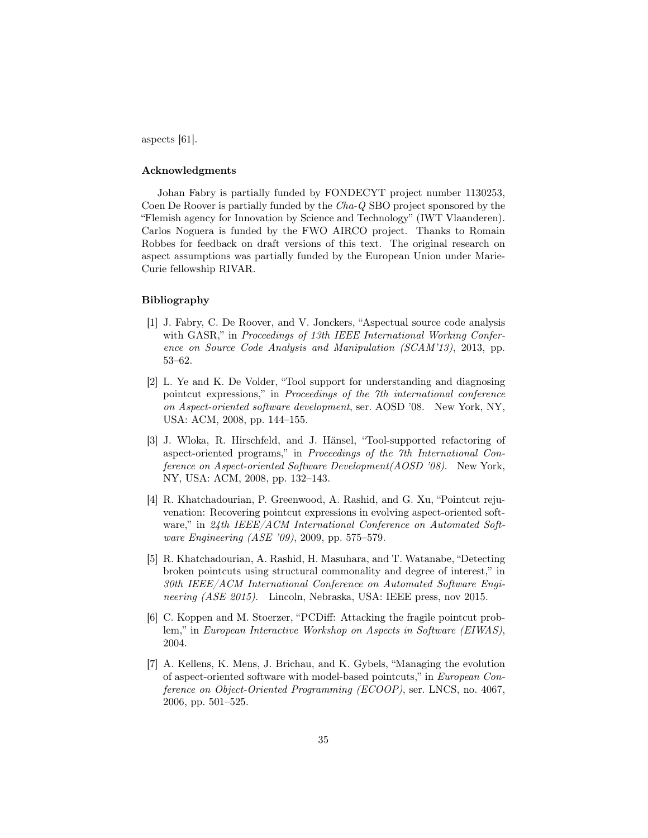aspects [61].

# Acknowledgments

Johan Fabry is partially funded by FONDECYT project number 1130253, Coen De Roover is partially funded by the Cha-Q SBO project sponsored by the "Flemish agency for Innovation by Science and Technology" (IWT Vlaanderen). Carlos Noguera is funded by the FWO AIRCO project. Thanks to Romain Robbes for feedback on draft versions of this text. The original research on aspect assumptions was partially funded by the European Union under Marie-Curie fellowship RIVAR.

## Bibliography

- [1] J. Fabry, C. De Roover, and V. Jonckers, "Aspectual source code analysis with GASR," in Proceedings of 13th IEEE International Working Conference on Source Code Analysis and Manipulation (SCAM'13), 2013, pp. 53–62.
- [2] L. Ye and K. De Volder, "Tool support for understanding and diagnosing pointcut expressions," in Proceedings of the 7th international conference on Aspect-oriented software development, ser. AOSD '08. New York, NY, USA: ACM, 2008, pp. 144–155.
- [3] J. Wloka, R. Hirschfeld, and J. Hänsel, "Tool-supported refactoring of aspect-oriented programs," in Proceedings of the 7th International Conference on Aspect-oriented Software Development(AOSD '08). New York, NY, USA: ACM, 2008, pp. 132–143.
- [4] R. Khatchadourian, P. Greenwood, A. Rashid, and G. Xu, "Pointcut rejuvenation: Recovering pointcut expressions in evolving aspect-oriented software," in 24th IEEE/ACM International Conference on Automated Software Engineering (ASE '09), 2009, pp. 575–579.
- [5] R. Khatchadourian, A. Rashid, H. Masuhara, and T. Watanabe, "Detecting broken pointcuts using structural commonality and degree of interest," in 30th IEEE/ACM International Conference on Automated Software Engineering (ASE 2015). Lincoln, Nebraska, USA: IEEE press, nov 2015.
- [6] C. Koppen and M. Stoerzer, "PCDiff: Attacking the fragile pointcut problem," in European Interactive Workshop on Aspects in Software (EIWAS), 2004.
- [7] A. Kellens, K. Mens, J. Brichau, and K. Gybels, "Managing the evolution of aspect-oriented software with model-based pointcuts," in European Conference on Object-Oriented Programming (ECOOP), ser. LNCS, no. 4067, 2006, pp. 501–525.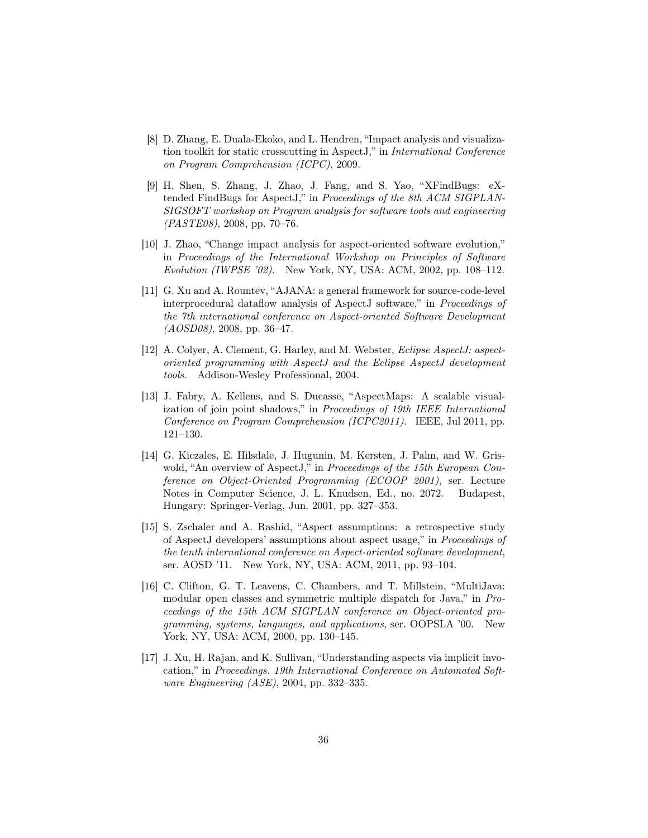- [8] D. Zhang, E. Duala-Ekoko, and L. Hendren, "Impact analysis and visualization toolkit for static crosscutting in AspectJ," in International Conference on Program Comprehension (ICPC), 2009.
- [9] H. Shen, S. Zhang, J. Zhao, J. Fang, and S. Yao, "XFindBugs: eXtended FindBugs for AspectJ," in Proceedings of the 8th ACM SIGPLAN-SIGSOFT workshop on Program analysis for software tools and engineering (PASTE08), 2008, pp. 70–76.
- [10] J. Zhao, "Change impact analysis for aspect-oriented software evolution," in Proceedings of the International Workshop on Principles of Software Evolution (IWPSE '02). New York, NY, USA: ACM, 2002, pp. 108–112.
- [11] G. Xu and A. Rountev, "AJANA: a general framework for source-code-level interprocedural dataflow analysis of AspectJ software," in Proceedings of the 7th international conference on Aspect-oriented Software Development  $(AOSD08)$ , 2008, pp. 36–47.
- [12] A. Colyer, A. Clement, G. Harley, and M. Webster, *Eclipse AspectJ: aspect*oriented programming with AspectJ and the Eclipse AspectJ development tools. Addison-Wesley Professional, 2004.
- [13] J. Fabry, A. Kellens, and S. Ducasse, "AspectMaps: A scalable visualization of join point shadows," in Proceedings of 19th IEEE International Conference on Program Comprehension (ICPC2011). IEEE, Jul 2011, pp. 121–130.
- [14] G. Kiczales, E. Hilsdale, J. Hugunin, M. Kersten, J. Palm, and W. Griswold, "An overview of AspectJ," in Proceedings of the 15th European Conference on Object-Oriented Programming (ECOOP 2001), ser. Lecture Notes in Computer Science, J. L. Knudsen, Ed., no. 2072. Budapest, Hungary: Springer-Verlag, Jun. 2001, pp. 327–353.
- [15] S. Zschaler and A. Rashid, "Aspect assumptions: a retrospective study of AspectJ developers' assumptions about aspect usage," in Proceedings of the tenth international conference on Aspect-oriented software development, ser. AOSD '11. New York, NY, USA: ACM, 2011, pp. 93–104.
- [16] C. Clifton, G. T. Leavens, C. Chambers, and T. Millstein, "MultiJava: modular open classes and symmetric multiple dispatch for Java," in Proceedings of the 15th ACM SIGPLAN conference on Object-oriented programming, systems, languages, and applications, ser. OOPSLA '00. New York, NY, USA: ACM, 2000, pp. 130–145.
- [17] J. Xu, H. Rajan, and K. Sullivan, "Understanding aspects via implicit invocation," in Proceedings. 19th International Conference on Automated Software Engineering (ASE), 2004, pp. 332–335.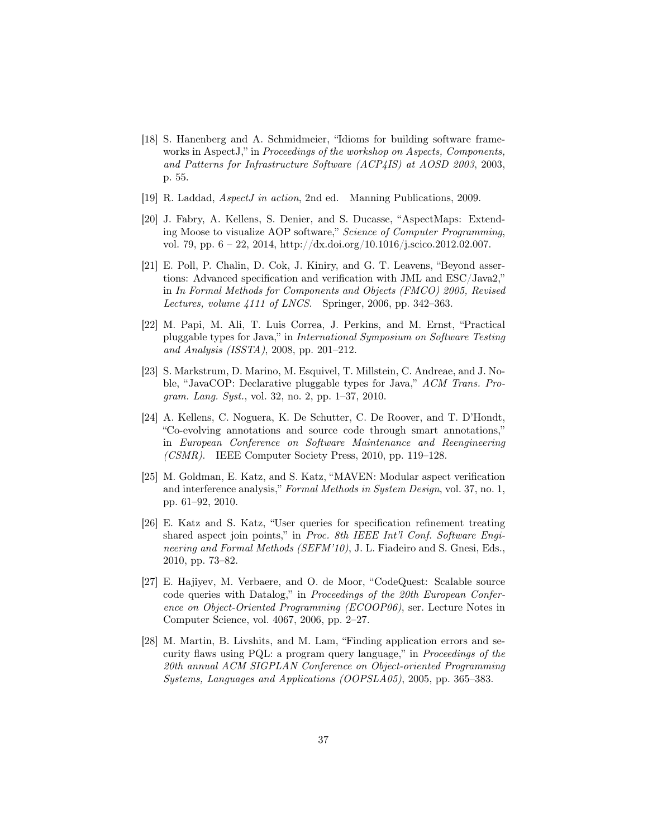- [18] S. Hanenberg and A. Schmidmeier, "Idioms for building software frameworks in AspectJ," in Proceedings of the workshop on Aspects, Components, and Patterns for Infrastructure Software (ACP4IS) at AOSD 2003, 2003, p. 55.
- [19] R. Laddad, AspectJ in action, 2nd ed. Manning Publications, 2009.
- [20] J. Fabry, A. Kellens, S. Denier, and S. Ducasse, "AspectMaps: Extending Moose to visualize AOP software," Science of Computer Programming, vol. 79, pp. 6 – 22, 2014, http://dx.doi.org/10.1016/j.scico.2012.02.007.
- [21] E. Poll, P. Chalin, D. Cok, J. Kiniry, and G. T. Leavens, "Beyond assertions: Advanced specification and verification with JML and ESC/Java2," in In Formal Methods for Components and Objects (FMCO) 2005, Revised Lectures, volume 4111 of LNCS. Springer, 2006, pp. 342–363.
- [22] M. Papi, M. Ali, T. Luis Correa, J. Perkins, and M. Ernst, "Practical pluggable types for Java," in International Symposium on Software Testing and Analysis (ISSTA), 2008, pp. 201–212.
- [23] S. Markstrum, D. Marino, M. Esquivel, T. Millstein, C. Andreae, and J. Noble, "JavaCOP: Declarative pluggable types for Java," ACM Trans. Program. Lang. Syst., vol. 32, no. 2, pp. 1–37, 2010.
- [24] A. Kellens, C. Noguera, K. De Schutter, C. De Roover, and T. D'Hondt, "Co-evolving annotations and source code through smart annotations," in European Conference on Software Maintenance and Reengineering (CSMR). IEEE Computer Society Press, 2010, pp. 119–128.
- [25] M. Goldman, E. Katz, and S. Katz, "MAVEN: Modular aspect verification and interference analysis," Formal Methods in System Design, vol. 37, no. 1, pp. 61–92, 2010.
- [26] E. Katz and S. Katz, "User queries for specification refinement treating shared aspect join points," in Proc. 8th IEEE Int'l Conf. Software Engineering and Formal Methods (SEFM'10), J. L. Fiadeiro and S. Gnesi, Eds., 2010, pp. 73–82.
- [27] E. Hajiyev, M. Verbaere, and O. de Moor, "CodeQuest: Scalable source code queries with Datalog," in *Proceedings of the 20th European Confer*ence on Object-Oriented Programming (ECOOP06), ser. Lecture Notes in Computer Science, vol. 4067, 2006, pp. 2–27.
- [28] M. Martin, B. Livshits, and M. Lam, "Finding application errors and security flaws using PQL: a program query language," in Proceedings of the 20th annual ACM SIGPLAN Conference on Object-oriented Programming Systems, Languages and Applications (OOPSLA05), 2005, pp. 365–383.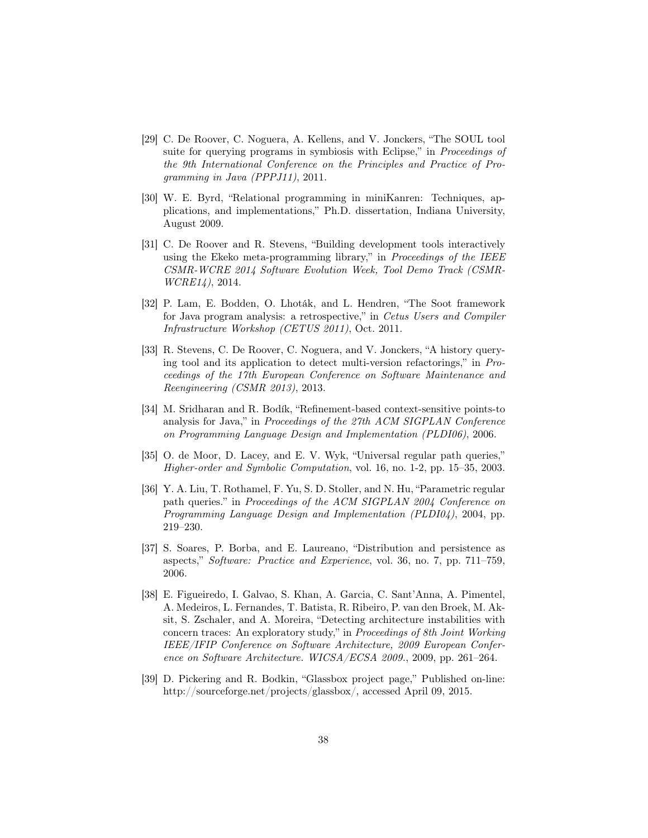- [29] C. De Roover, C. Noguera, A. Kellens, and V. Jonckers, "The SOUL tool suite for querying programs in symbiosis with Eclipse," in *Proceedings of* the 9th International Conference on the Principles and Practice of Programming in Java (PPPJ11), 2011.
- [30] W. E. Byrd, "Relational programming in miniKanren: Techniques, applications, and implementations," Ph.D. dissertation, Indiana University, August 2009.
- [31] C. De Roover and R. Stevens, "Building development tools interactively using the Ekeko meta-programming library," in *Proceedings of the IEEE* CSMR-WCRE 2014 Software Evolution Week, Tool Demo Track (CSMR-WCRE14), 2014.
- [32] P. Lam, E. Bodden, O. Lhoták, and L. Hendren, "The Soot framework for Java program analysis: a retrospective," in Cetus Users and Compiler Infrastructure Workshop (CETUS 2011), Oct. 2011.
- [33] R. Stevens, C. De Roover, C. Noguera, and V. Jonckers, "A history querying tool and its application to detect multi-version refactorings," in Proceedings of the 17th European Conference on Software Maintenance and Reengineering (CSMR 2013), 2013.
- [34] M. Sridharan and R. Bodík, "Refinement-based context-sensitive points-to analysis for Java," in Proceedings of the 27th ACM SIGPLAN Conference on Programming Language Design and Implementation (PLDI06), 2006.
- [35] O. de Moor, D. Lacey, and E. V. Wyk, "Universal regular path queries," Higher-order and Symbolic Computation, vol. 16, no. 1-2, pp. 15–35, 2003.
- [36] Y. A. Liu, T. Rothamel, F. Yu, S. D. Stoller, and N. Hu, "Parametric regular path queries." in Proceedings of the ACM SIGPLAN 2004 Conference on Programming Language Design and Implementation (PLDI04), 2004, pp. 219–230.
- [37] S. Soares, P. Borba, and E. Laureano, "Distribution and persistence as aspects," Software: Practice and Experience, vol. 36, no. 7, pp. 711–759, 2006.
- [38] E. Figueiredo, I. Galvao, S. Khan, A. Garcia, C. Sant'Anna, A. Pimentel, A. Medeiros, L. Fernandes, T. Batista, R. Ribeiro, P. van den Broek, M. Aksit, S. Zschaler, and A. Moreira, "Detecting architecture instabilities with concern traces: An exploratory study," in Proceedings of 8th Joint Working IEEE/IFIP Conference on Software Architecture, 2009 European Conference on Software Architecture. WICSA/ECSA 2009., 2009, pp. 261–264.
- [39] D. Pickering and R. Bodkin, "Glassbox project page," Published on-line: http://sourceforge.net/projects/glassbox/, accessed April 09, 2015.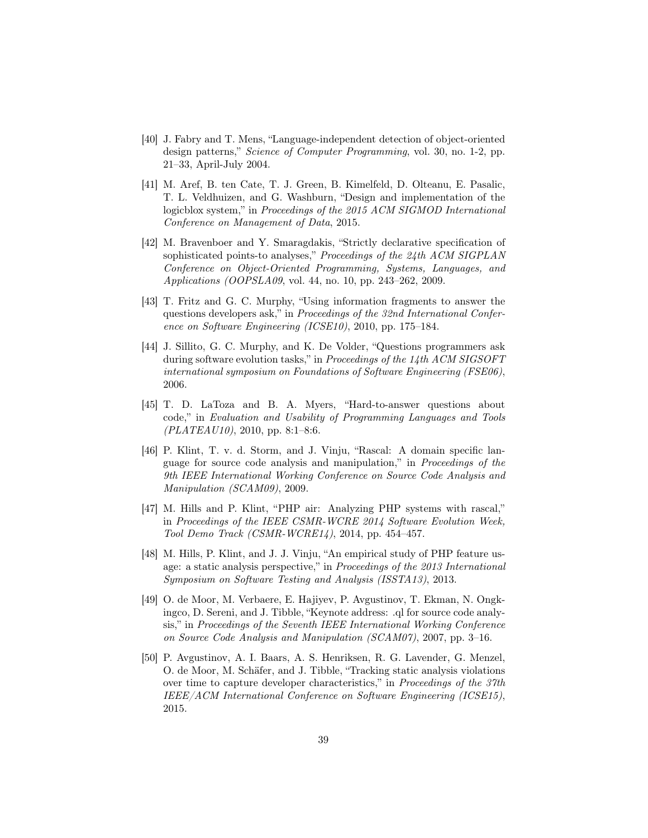- [40] J. Fabry and T. Mens, "Language-independent detection of object-oriented design patterns," Science of Computer Programming, vol. 30, no. 1-2, pp. 21–33, April-July 2004.
- [41] M. Aref, B. ten Cate, T. J. Green, B. Kimelfeld, D. Olteanu, E. Pasalic, T. L. Veldhuizen, and G. Washburn, "Design and implementation of the logicblox system," in Proceedings of the 2015 ACM SIGMOD International Conference on Management of Data, 2015.
- [42] M. Bravenboer and Y. Smaragdakis, "Strictly declarative specification of sophisticated points-to analyses," Proceedings of the 24th ACM SIGPLAN Conference on Object-Oriented Programming, Systems, Languages, and Applications (OOPSLA09, vol. 44, no. 10, pp. 243–262, 2009.
- [43] T. Fritz and G. C. Murphy, "Using information fragments to answer the questions developers ask," in Proceedings of the 32nd International Conference on Software Engineering (ICSE10), 2010, pp. 175–184.
- [44] J. Sillito, G. C. Murphy, and K. De Volder, "Questions programmers ask during software evolution tasks," in Proceedings of the 14th ACM SIGSOFT international symposium on Foundations of Software Engineering (FSE06), 2006.
- [45] T. D. LaToza and B. A. Myers, "Hard-to-answer questions about code," in Evaluation and Usability of Programming Languages and Tools  $(PLATEAU10)$ , 2010, pp. 8:1-8:6.
- [46] P. Klint, T. v. d. Storm, and J. Vinju, "Rascal: A domain specific language for source code analysis and manipulation," in Proceedings of the 9th IEEE International Working Conference on Source Code Analysis and Manipulation (SCAM09), 2009.
- [47] M. Hills and P. Klint, "PHP air: Analyzing PHP systems with rascal," in Proceedings of the IEEE CSMR-WCRE 2014 Software Evolution Week, Tool Demo Track (CSMR-WCRE14), 2014, pp. 454–457.
- [48] M. Hills, P. Klint, and J. J. Vinju, "An empirical study of PHP feature usage: a static analysis perspective," in Proceedings of the 2013 International Symposium on Software Testing and Analysis (ISSTA13), 2013.
- [49] O. de Moor, M. Verbaere, E. Hajiyev, P. Avgustinov, T. Ekman, N. Ongkingco, D. Sereni, and J. Tibble, "Keynote address: .ql for source code analysis," in Proceedings of the Seventh IEEE International Working Conference on Source Code Analysis and Manipulation (SCAM07), 2007, pp. 3–16.
- [50] P. Avgustinov, A. I. Baars, A. S. Henriksen, R. G. Lavender, G. Menzel, O. de Moor, M. Schäfer, and J. Tibble, "Tracking static analysis violations over time to capture developer characteristics," in Proceedings of the 37th IEEE/ACM International Conference on Software Engineering (ICSE15), 2015.